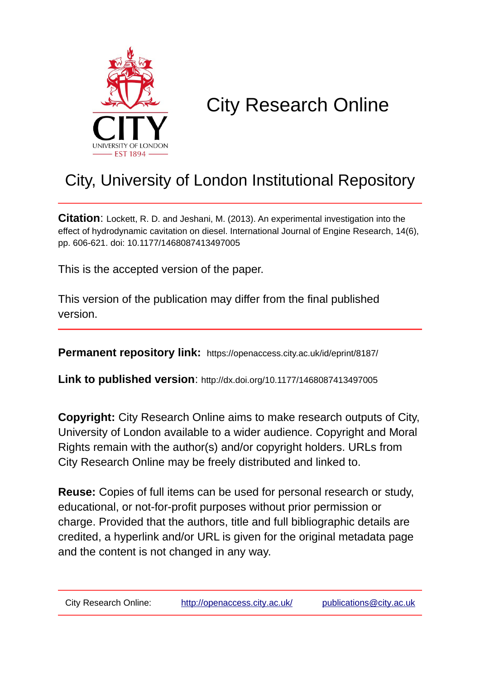

# City Research Online

# City, University of London Institutional Repository

**Citation**: Lockett, R. D. and Jeshani, M. (2013). An experimental investigation into the effect of hydrodynamic cavitation on diesel. International Journal of Engine Research, 14(6), pp. 606-621. doi: 10.1177/1468087413497005

This is the accepted version of the paper.

This version of the publication may differ from the final published version.

**Permanent repository link:** https://openaccess.city.ac.uk/id/eprint/8187/

**Link to published version**: http://dx.doi.org/10.1177/1468087413497005

**Copyright:** City Research Online aims to make research outputs of City, University of London available to a wider audience. Copyright and Moral Rights remain with the author(s) and/or copyright holders. URLs from City Research Online may be freely distributed and linked to.

**Reuse:** Copies of full items can be used for personal research or study, educational, or not-for-profit purposes without prior permission or charge. Provided that the authors, title and full bibliographic details are credited, a hyperlink and/or URL is given for the original metadata page and the content is not changed in any way.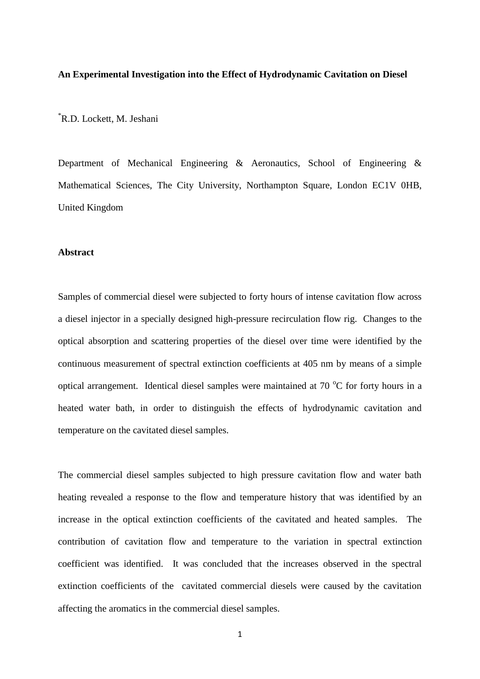#### **An Experimental Investigation into the Effect of Hydrodynamic Cavitation on Diesel**

\*R.D. Lockett, M. Jeshani

Department of Mechanical Engineering & Aeronautics, School of Engineering & Mathematical Sciences, The City University, Northampton Square, London EC1V 0HB, United Kingdom

# **Abstract**

Samples of commercial diesel were subjected to forty hours of intense cavitation flow across a diesel injector in a specially designed high-pressure recirculation flow rig. Changes to the optical absorption and scattering properties of the diesel over time were identified by the continuous measurement of spectral extinction coefficients at 405 nm by means of a simple optical arrangement. Identical diesel samples were maintained at  $70\,^{\circ}\text{C}$  for forty hours in a heated water bath, in order to distinguish the effects of hydrodynamic cavitation and temperature on the cavitated diesel samples.

The commercial diesel samples subjected to high pressure cavitation flow and water bath heating revealed a response to the flow and temperature history that was identified by an increase in the optical extinction coefficients of the cavitated and heated samples. The contribution of cavitation flow and temperature to the variation in spectral extinction coefficient was identified. It was concluded that the increases observed in the spectral extinction coefficients of the cavitated commercial diesels were caused by the cavitation affecting the aromatics in the commercial diesel samples.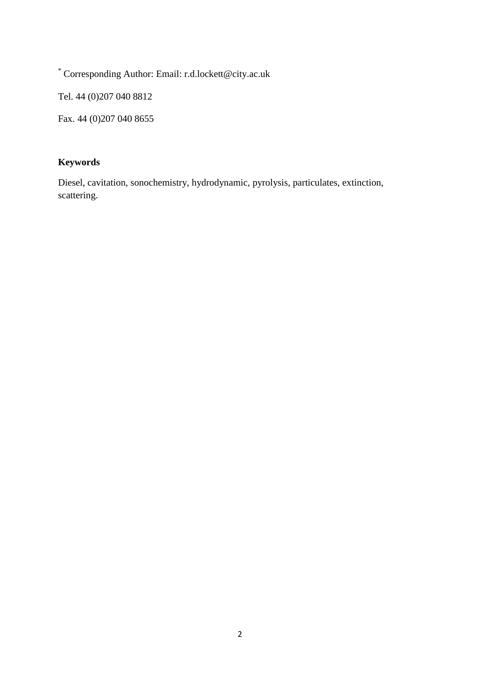\* Corresponding Author: Email: r.d.lockett@city.ac.uk

Tel. 44 (0)207 040 8812

Fax. 44 (0)207 040 8655

# **Keywords**

Diesel, cavitation, sonochemistry, hydrodynamic, pyrolysis, particulates, extinction, scattering.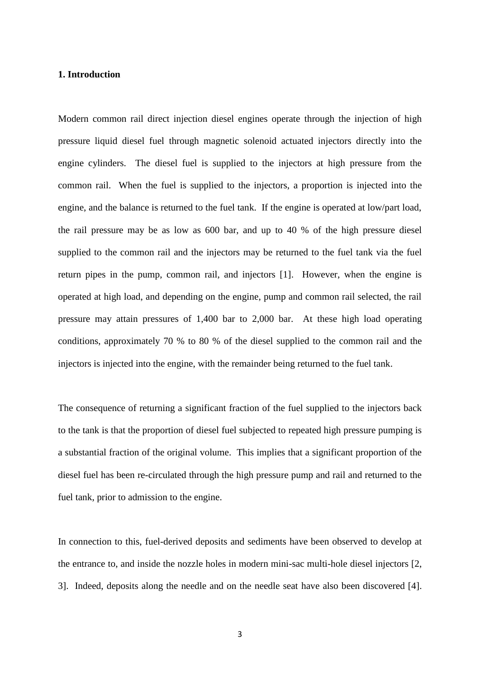#### **1. Introduction**

Modern common rail direct injection diesel engines operate through the injection of high pressure liquid diesel fuel through magnetic solenoid actuated injectors directly into the engine cylinders. The diesel fuel is supplied to the injectors at high pressure from the common rail. When the fuel is supplied to the injectors, a proportion is injected into the engine, and the balance is returned to the fuel tank. If the engine is operated at low/part load, the rail pressure may be as low as 600 bar, and up to 40 % of the high pressure diesel supplied to the common rail and the injectors may be returned to the fuel tank via the fuel return pipes in the pump, common rail, and injectors [1]. However, when the engine is operated at high load, and depending on the engine, pump and common rail selected, the rail pressure may attain pressures of 1,400 bar to 2,000 bar. At these high load operating conditions, approximately 70 % to 80 % of the diesel supplied to the common rail and the injectors is injected into the engine, with the remainder being returned to the fuel tank.

The consequence of returning a significant fraction of the fuel supplied to the injectors back to the tank is that the proportion of diesel fuel subjected to repeated high pressure pumping is a substantial fraction of the original volume. This implies that a significant proportion of the diesel fuel has been re-circulated through the high pressure pump and rail and returned to the fuel tank, prior to admission to the engine.

In connection to this, fuel-derived deposits and sediments have been observed to develop at the entrance to, and inside the nozzle holes in modern mini-sac multi-hole diesel injectors [2, 3]. Indeed, deposits along the needle and on the needle seat have also been discovered [4].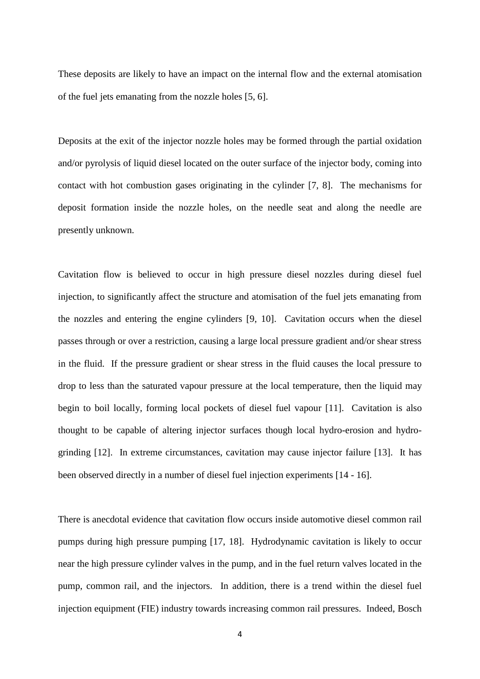These deposits are likely to have an impact on the internal flow and the external atomisation of the fuel jets emanating from the nozzle holes [5, 6].

Deposits at the exit of the injector nozzle holes may be formed through the partial oxidation and/or pyrolysis of liquid diesel located on the outer surface of the injector body, coming into contact with hot combustion gases originating in the cylinder [7, 8]. The mechanisms for deposit formation inside the nozzle holes, on the needle seat and along the needle are presently unknown.

Cavitation flow is believed to occur in high pressure diesel nozzles during diesel fuel injection, to significantly affect the structure and atomisation of the fuel jets emanating from the nozzles and entering the engine cylinders [9, 10]. Cavitation occurs when the diesel passes through or over a restriction, causing a large local pressure gradient and/or shear stress in the fluid. If the pressure gradient or shear stress in the fluid causes the local pressure to drop to less than the saturated vapour pressure at the local temperature, then the liquid may begin to boil locally, forming local pockets of diesel fuel vapour [11]. Cavitation is also thought to be capable of altering injector surfaces though local hydro-erosion and hydrogrinding [12]. In extreme circumstances, cavitation may cause injector failure [13]. It has been observed directly in a number of diesel fuel injection experiments [14 - 16].

There is anecdotal evidence that cavitation flow occurs inside automotive diesel common rail pumps during high pressure pumping [17, 18]. Hydrodynamic cavitation is likely to occur near the high pressure cylinder valves in the pump, and in the fuel return valves located in the pump, common rail, and the injectors. In addition, there is a trend within the diesel fuel injection equipment (FIE) industry towards increasing common rail pressures. Indeed, Bosch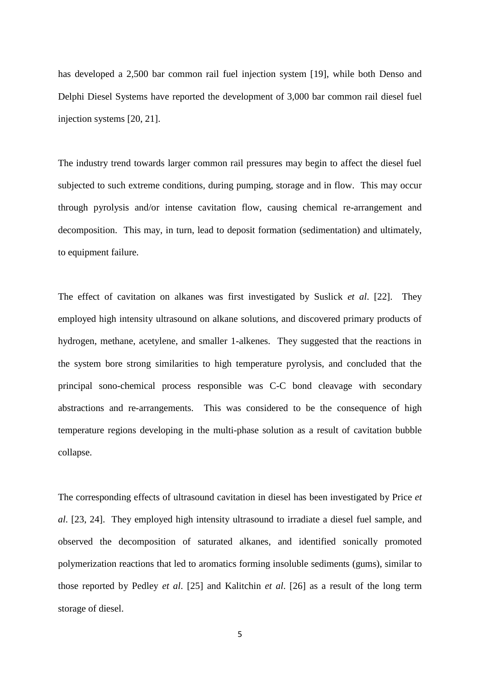has developed a 2,500 bar common rail fuel injection system [19], while both Denso and Delphi Diesel Systems have reported the development of 3,000 bar common rail diesel fuel injection systems [20, 21].

The industry trend towards larger common rail pressures may begin to affect the diesel fuel subjected to such extreme conditions, during pumping, storage and in flow. This may occur through pyrolysis and/or intense cavitation flow, causing chemical re-arrangement and decomposition. This may, in turn, lead to deposit formation (sedimentation) and ultimately, to equipment failure.

The effect of cavitation on alkanes was first investigated by Suslick *et al*. [22]. They employed high intensity ultrasound on alkane solutions, and discovered primary products of hydrogen, methane, acetylene, and smaller 1-alkenes. They suggested that the reactions in the system bore strong similarities to high temperature pyrolysis, and concluded that the principal sono-chemical process responsible was C-C bond cleavage with secondary abstractions and re-arrangements. This was considered to be the consequence of high temperature regions developing in the multi-phase solution as a result of cavitation bubble collapse.

The corresponding effects of ultrasound cavitation in diesel has been investigated by Price *et al*. [23, 24]. They employed high intensity ultrasound to irradiate a diesel fuel sample, and observed the decomposition of saturated alkanes, and identified sonically promoted polymerization reactions that led to aromatics forming insoluble sediments (gums), similar to those reported by Pedley *et al*. [25] and Kalitchin *et al*. [26] as a result of the long term storage of diesel.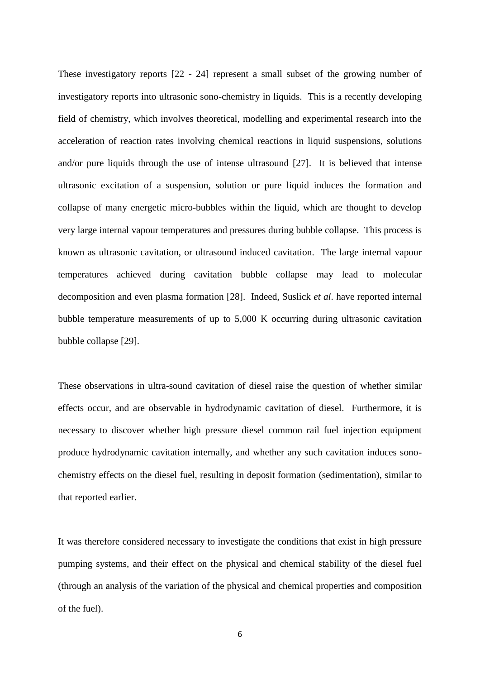These investigatory reports [22 - 24] represent a small subset of the growing number of investigatory reports into ultrasonic sono-chemistry in liquids. This is a recently developing field of chemistry, which involves theoretical, modelling and experimental research into the acceleration of reaction rates involving chemical reactions in liquid suspensions, solutions and/or pure liquids through the use of intense ultrasound [27]. It is believed that intense ultrasonic excitation of a suspension, solution or pure liquid induces the formation and collapse of many energetic micro-bubbles within the liquid, which are thought to develop very large internal vapour temperatures and pressures during bubble collapse. This process is known as ultrasonic cavitation, or ultrasound induced cavitation. The large internal vapour temperatures achieved during cavitation bubble collapse may lead to molecular decomposition and even plasma formation [28]. Indeed, Suslick *et al*. have reported internal bubble temperature measurements of up to 5,000 K occurring during ultrasonic cavitation bubble collapse [29].

These observations in ultra-sound cavitation of diesel raise the question of whether similar effects occur, and are observable in hydrodynamic cavitation of diesel. Furthermore, it is necessary to discover whether high pressure diesel common rail fuel injection equipment produce hydrodynamic cavitation internally, and whether any such cavitation induces sonochemistry effects on the diesel fuel, resulting in deposit formation (sedimentation), similar to that reported earlier.

It was therefore considered necessary to investigate the conditions that exist in high pressure pumping systems, and their effect on the physical and chemical stability of the diesel fuel (through an analysis of the variation of the physical and chemical properties and composition of the fuel).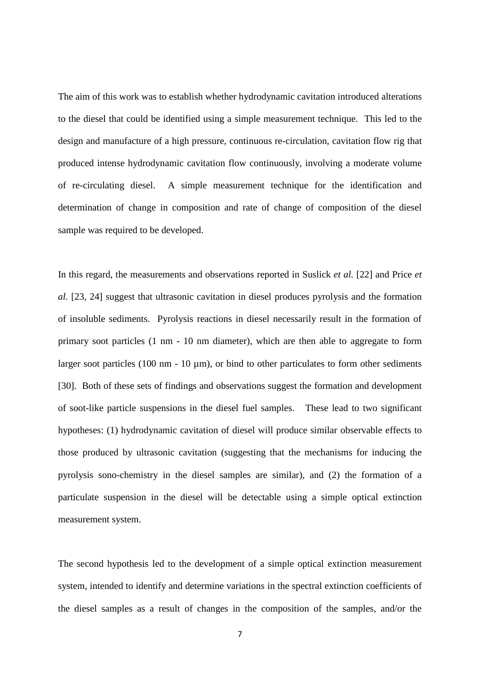The aim of this work was to establish whether hydrodynamic cavitation introduced alterations to the diesel that could be identified using a simple measurement technique. This led to the design and manufacture of a high pressure, continuous re-circulation, cavitation flow rig that produced intense hydrodynamic cavitation flow continuously, involving a moderate volume of re-circulating diesel. A simple measurement technique for the identification and determination of change in composition and rate of change of composition of the diesel sample was required to be developed.

In this regard, the measurements and observations reported in Suslick *et al.* [22] and Price *et al*. [23, 24] suggest that ultrasonic cavitation in diesel produces pyrolysis and the formation of insoluble sediments. Pyrolysis reactions in diesel necessarily result in the formation of primary soot particles (1 nm - 10 nm diameter), which are then able to aggregate to form larger soot particles (100 nm - 10  $\mu$ m), or bind to other particulates to form other sediments [30]. Both of these sets of findings and observations suggest the formation and development of soot-like particle suspensions in the diesel fuel samples. These lead to two significant hypotheses: (1) hydrodynamic cavitation of diesel will produce similar observable effects to those produced by ultrasonic cavitation (suggesting that the mechanisms for inducing the pyrolysis sono-chemistry in the diesel samples are similar), and (2) the formation of a particulate suspension in the diesel will be detectable using a simple optical extinction measurement system.

The second hypothesis led to the development of a simple optical extinction measurement system, intended to identify and determine variations in the spectral extinction coefficients of the diesel samples as a result of changes in the composition of the samples, and/or the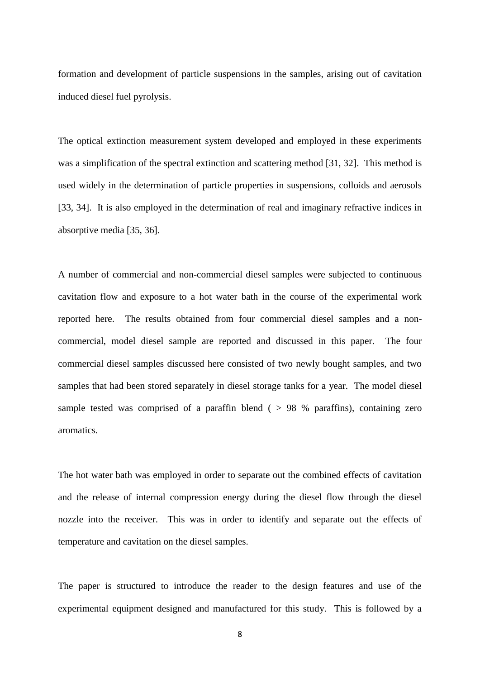formation and development of particle suspensions in the samples, arising out of cavitation induced diesel fuel pyrolysis.

The optical extinction measurement system developed and employed in these experiments was a simplification of the spectral extinction and scattering method [31, 32]. This method is used widely in the determination of particle properties in suspensions, colloids and aerosols [33, 34]. It is also employed in the determination of real and imaginary refractive indices in absorptive media [35, 36].

A number of commercial and non-commercial diesel samples were subjected to continuous cavitation flow and exposure to a hot water bath in the course of the experimental work reported here. The results obtained from four commercial diesel samples and a noncommercial, model diesel sample are reported and discussed in this paper. The four commercial diesel samples discussed here consisted of two newly bought samples, and two samples that had been stored separately in diesel storage tanks for a year. The model diesel sample tested was comprised of a paraffin blend ( $> 98$  % paraffins), containing zero aromatics.

The hot water bath was employed in order to separate out the combined effects of cavitation and the release of internal compression energy during the diesel flow through the diesel nozzle into the receiver. This was in order to identify and separate out the effects of temperature and cavitation on the diesel samples.

The paper is structured to introduce the reader to the design features and use of the experimental equipment designed and manufactured for this study. This is followed by a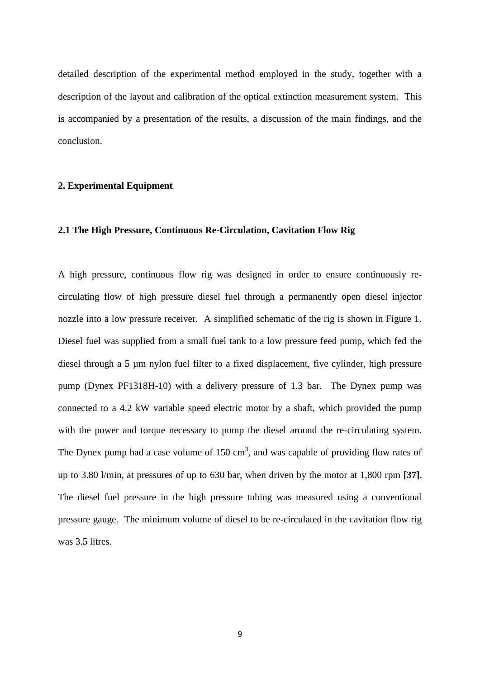detailed description of the experimental method employed in the study, together with a description of the layout and calibration of the optical extinction measurement system. This is accompanied by a presentation of the results, a discussion of the main findings, and the conclusion.

# **2. Experimental Equipment**

### **2.1 The High Pressure, Continuous Re-Circulation, Cavitation Flow Rig**

A high pressure, continuous flow rig was designed in order to ensure continuously recirculating flow of high pressure diesel fuel through a permanently open diesel injector nozzle into a low pressure receiver. A simplified schematic of the rig is shown in Figure 1. Diesel fuel was supplied from a small fuel tank to a low pressure feed pump, which fed the diesel through a 5 µm nylon fuel filter to a fixed displacement, five cylinder, high pressure pump (Dynex PF1318H-10) with a delivery pressure of 1.3 bar. The Dynex pump was connected to a 4.2 kW variable speed electric motor by a shaft, which provided the pump with the power and torque necessary to pump the diesel around the re-circulating system. The Dynex pump had a case volume of  $150 \text{ cm}^3$ , and was capable of providing flow rates of up to 3.80 l/min, at pressures of up to 630 bar, when driven by the motor at 1,800 rpm **[37]**. The diesel fuel pressure in the high pressure tubing was measured using a conventional pressure gauge. The minimum volume of diesel to be re-circulated in the cavitation flow rig was 3.5 litres.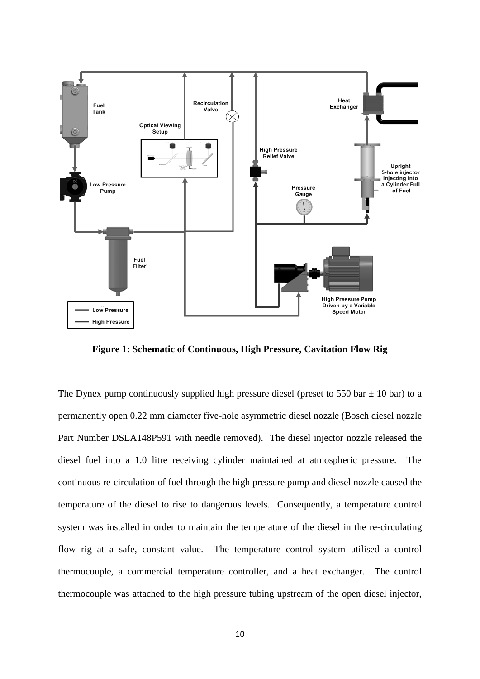

**Figure 1: Schematic of Continuous, High Pressure, Cavitation Flow Rig**

The Dynex pump continuously supplied high pressure diesel (preset to 550 bar  $\pm$  10 bar) to a permanently open 0.22 mm diameter five-hole asymmetric diesel nozzle (Bosch diesel nozzle Part Number DSLA148P591 with needle removed). The diesel injector nozzle released the diesel fuel into a 1.0 litre receiving cylinder maintained at atmospheric pressure. The continuous re-circulation of fuel through the high pressure pump and diesel nozzle caused the temperature of the diesel to rise to dangerous levels. Consequently, a temperature control system was installed in order to maintain the temperature of the diesel in the re-circulating flow rig at a safe, constant value. The temperature control system utilised a control thermocouple, a commercial temperature controller, and a heat exchanger. The control thermocouple was attached to the high pressure tubing upstream of the open diesel injector,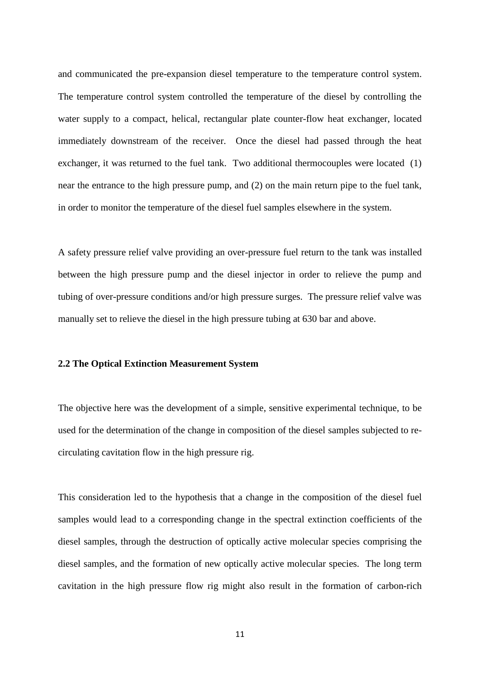and communicated the pre-expansion diesel temperature to the temperature control system. The temperature control system controlled the temperature of the diesel by controlling the water supply to a compact, helical, rectangular plate counter-flow heat exchanger, located immediately downstream of the receiver. Once the diesel had passed through the heat exchanger, it was returned to the fuel tank. Two additional thermocouples were located (1) near the entrance to the high pressure pump, and (2) on the main return pipe to the fuel tank, in order to monitor the temperature of the diesel fuel samples elsewhere in the system.

A safety pressure relief valve providing an over-pressure fuel return to the tank was installed between the high pressure pump and the diesel injector in order to relieve the pump and tubing of over-pressure conditions and/or high pressure surges. The pressure relief valve was manually set to relieve the diesel in the high pressure tubing at 630 bar and above.

#### **2.2 The Optical Extinction Measurement System**

The objective here was the development of a simple, sensitive experimental technique, to be used for the determination of the change in composition of the diesel samples subjected to recirculating cavitation flow in the high pressure rig.

This consideration led to the hypothesis that a change in the composition of the diesel fuel samples would lead to a corresponding change in the spectral extinction coefficients of the diesel samples, through the destruction of optically active molecular species comprising the diesel samples, and the formation of new optically active molecular species. The long term cavitation in the high pressure flow rig might also result in the formation of carbon-rich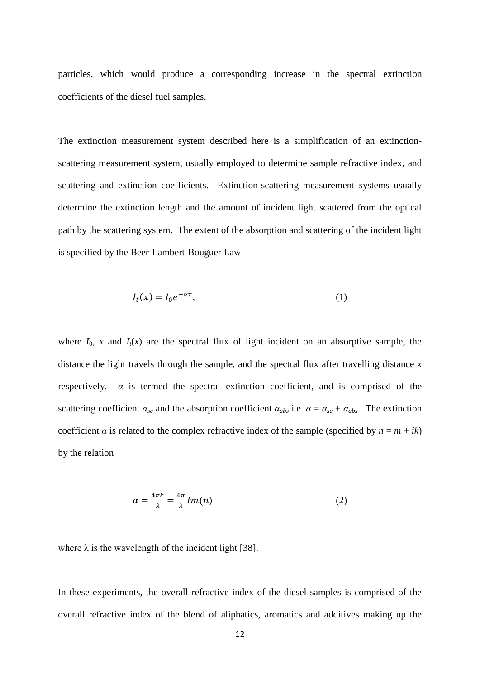particles, which would produce a corresponding increase in the spectral extinction coefficients of the diesel fuel samples.

The extinction measurement system described here is a simplification of an extinctionscattering measurement system, usually employed to determine sample refractive index, and scattering and extinction coefficients. Extinction-scattering measurement systems usually determine the extinction length and the amount of incident light scattered from the optical path by the scattering system. The extent of the absorption and scattering of the incident light is specified by the Beer-Lambert-Bouguer Law

$$
I_t(x) = I_0 e^{-\alpha x},\tag{1}
$$

where  $I_0$ , *x* and  $I_t(x)$  are the spectral flux of light incident on an absorptive sample, the distance the light travels through the sample, and the spectral flux after travelling distance *x* respectively.  $\alpha$  is termed the spectral extinction coefficient, and is comprised of the scattering coefficient  $\alpha_{sc}$  and the absorption coefficient  $\alpha_{abs}$  i.e.  $\alpha = \alpha_{sc} + \alpha_{abs}$ . The extinction coefficient *α* is related to the complex refractive index of the sample (specified by  $n = m + ik$ ) by the relation

$$
\alpha = \frac{4\pi k}{\lambda} = \frac{4\pi}{\lambda} Im(n) \tag{2}
$$

where  $\lambda$  is the wavelength of the incident light [38].

In these experiments, the overall refractive index of the diesel samples is comprised of the overall refractive index of the blend of aliphatics, aromatics and additives making up the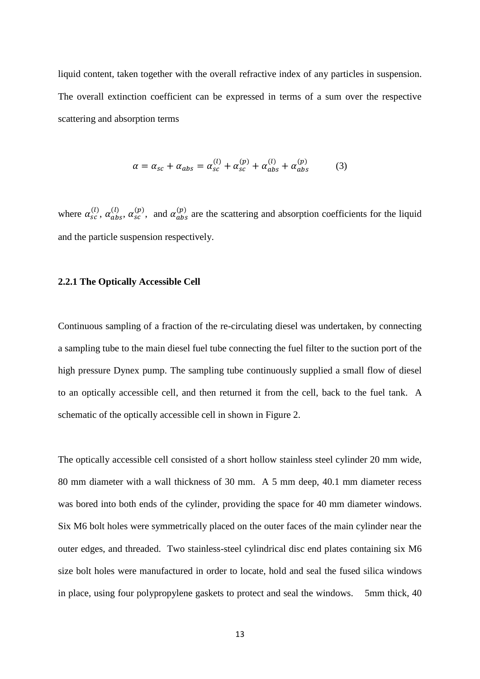liquid content, taken together with the overall refractive index of any particles in suspension. The overall extinction coefficient can be expressed in terms of a sum over the respective scattering and absorption terms

$$
\alpha = \alpha_{sc} + \alpha_{abs} = \alpha_{sc}^{(l)} + \alpha_{sc}^{(p)} + \alpha_{abs}^{(l)} + \alpha_{abs}^{(p)}
$$
(3)

where  $\alpha_{sc}^{(l)}$ ,  $\alpha_{abs}^{(l)}$ ,  $\alpha_{sc}^{(p)}$ , and  $\alpha_{abs}^{(p)}$  are the scattering and absorption coefficients for the liquid and the particle suspension respectively.

#### **2.2.1 The Optically Accessible Cell**

Continuous sampling of a fraction of the re-circulating diesel was undertaken, by connecting a sampling tube to the main diesel fuel tube connecting the fuel filter to the suction port of the high pressure Dynex pump. The sampling tube continuously supplied a small flow of diesel to an optically accessible cell, and then returned it from the cell, back to the fuel tank. A schematic of the optically accessible cell in shown in Figure 2.

The optically accessible cell consisted of a short hollow stainless steel cylinder 20 mm wide, 80 mm diameter with a wall thickness of 30 mm. A 5 mm deep, 40.1 mm diameter recess was bored into both ends of the cylinder, providing the space for 40 mm diameter windows. Six M6 bolt holes were symmetrically placed on the outer faces of the main cylinder near the outer edges, and threaded. Two stainless-steel cylindrical disc end plates containing six M6 size bolt holes were manufactured in order to locate, hold and seal the fused silica windows in place, using four polypropylene gaskets to protect and seal the windows. 5mm thick, 40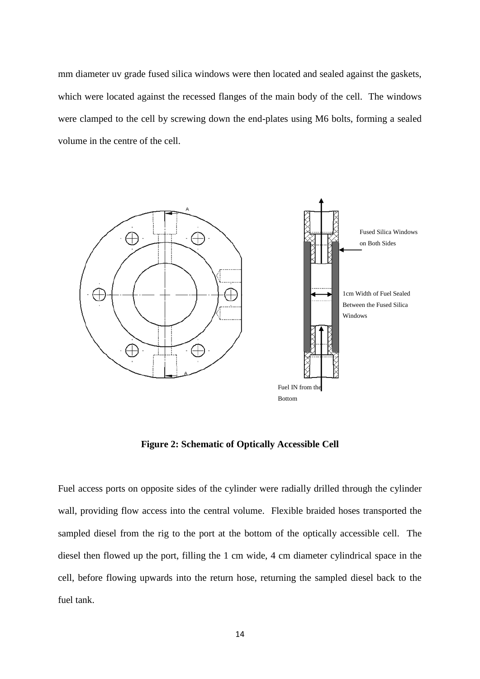mm diameter uv grade fused silica windows were then located and sealed against the gaskets, which were located against the recessed flanges of the main body of the cell. The windows were clamped to the cell by screwing down the end-plates using M6 bolts, forming a sealed volume in the centre of the cell.



**Figure 2: Schematic of Optically Accessible Cell**

Fuel access ports on opposite sides of the cylinder were radially drilled through the cylinder wall, providing flow access into the central volume. Flexible braided hoses transported the sampled diesel from the rig to the port at the bottom of the optically accessible cell. The diesel then flowed up the port, filling the 1 cm wide, 4 cm diameter cylindrical space in the cell, before flowing upwards into the return hose, returning the sampled diesel back to the fuel tank.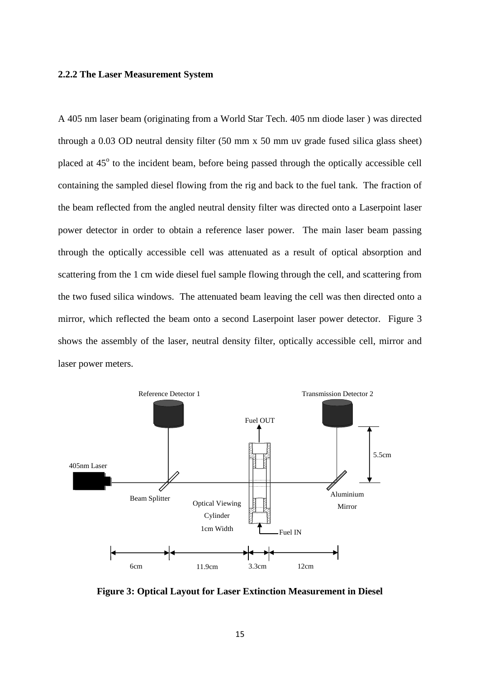#### **2.2.2 The Laser Measurement System**

A 405 nm laser beam (originating from a World Star Tech. 405 nm diode laser ) was directed through a 0.03 OD neutral density filter (50 mm x 50 mm uv grade fused silica glass sheet) placed at 45° to the incident beam, before being passed through the optically accessible cell containing the sampled diesel flowing from the rig and back to the fuel tank. The fraction of the beam reflected from the angled neutral density filter was directed onto a Laserpoint laser power detector in order to obtain a reference laser power. The main laser beam passing through the optically accessible cell was attenuated as a result of optical absorption and scattering from the 1 cm wide diesel fuel sample flowing through the cell, and scattering from the two fused silica windows. The attenuated beam leaving the cell was then directed onto a mirror, which reflected the beam onto a second Laserpoint laser power detector. Figure 3 shows the assembly of the laser, neutral density filter, optically accessible cell, mirror and laser power meters.



**Figure 3: Optical Layout for Laser Extinction Measurement in Diesel**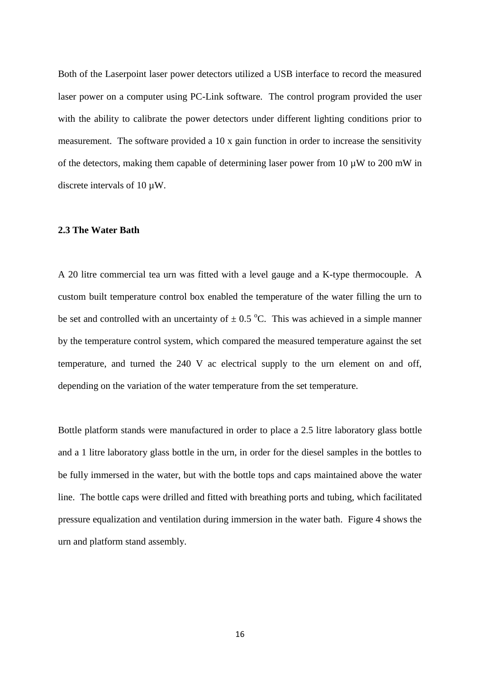Both of the Laserpoint laser power detectors utilized a USB interface to record the measured laser power on a computer using PC-Link software. The control program provided the user with the ability to calibrate the power detectors under different lighting conditions prior to measurement. The software provided a 10 x gain function in order to increase the sensitivity of the detectors, making them capable of determining laser power from 10  $\mu$ W to 200 mW in discrete intervals of 10  $\mu$ W.

#### **2.3 The Water Bath**

A 20 litre commercial tea urn was fitted with a level gauge and a K-type thermocouple. A custom built temperature control box enabled the temperature of the water filling the urn to be set and controlled with an uncertainty of  $\pm$  0.5 °C. This was achieved in a simple manner by the temperature control system, which compared the measured temperature against the set temperature, and turned the 240 V ac electrical supply to the urn element on and off, depending on the variation of the water temperature from the set temperature.

Bottle platform stands were manufactured in order to place a 2.5 litre laboratory glass bottle and a 1 litre laboratory glass bottle in the urn, in order for the diesel samples in the bottles to be fully immersed in the water, but with the bottle tops and caps maintained above the water line. The bottle caps were drilled and fitted with breathing ports and tubing, which facilitated pressure equalization and ventilation during immersion in the water bath. Figure 4 shows the urn and platform stand assembly.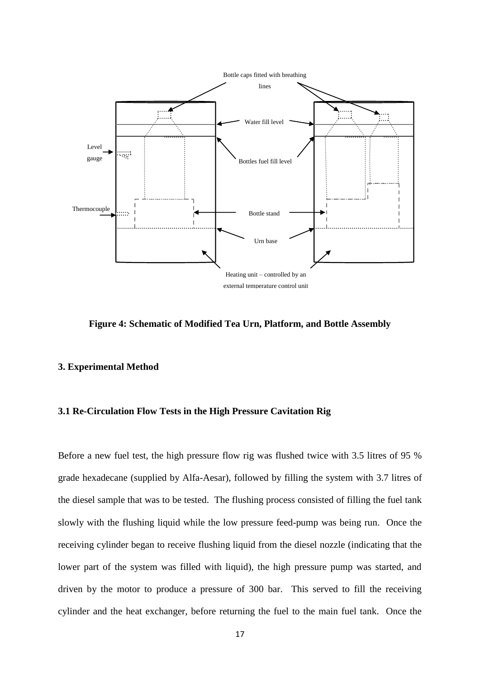

**Figure 4: Schematic of Modified Tea Urn, Platform, and Bottle Assembly**

# **3. Experimental Method**

# **3.1 Re-Circulation Flow Tests in the High Pressure Cavitation Rig**

Before a new fuel test, the high pressure flow rig was flushed twice with 3.5 litres of 95 % grade hexadecane (supplied by Alfa-Aesar), followed by filling the system with 3.7 litres of the diesel sample that was to be tested. The flushing process consisted of filling the fuel tank slowly with the flushing liquid while the low pressure feed-pump was being run. Once the receiving cylinder began to receive flushing liquid from the diesel nozzle (indicating that the lower part of the system was filled with liquid), the high pressure pump was started, and driven by the motor to produce a pressure of 300 bar. This served to fill the receiving cylinder and the heat exchanger, before returning the fuel to the main fuel tank. Once the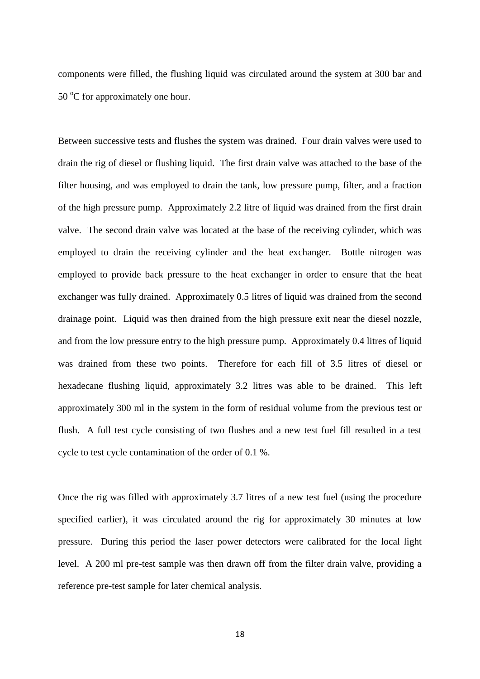components were filled, the flushing liquid was circulated around the system at 300 bar and  $50^{\circ}$ C for approximately one hour.

Between successive tests and flushes the system was drained. Four drain valves were used to drain the rig of diesel or flushing liquid. The first drain valve was attached to the base of the filter housing, and was employed to drain the tank, low pressure pump, filter, and a fraction of the high pressure pump. Approximately 2.2 litre of liquid was drained from the first drain valve. The second drain valve was located at the base of the receiving cylinder, which was employed to drain the receiving cylinder and the heat exchanger. Bottle nitrogen was employed to provide back pressure to the heat exchanger in order to ensure that the heat exchanger was fully drained. Approximately 0.5 litres of liquid was drained from the second drainage point. Liquid was then drained from the high pressure exit near the diesel nozzle, and from the low pressure entry to the high pressure pump. Approximately 0.4 litres of liquid was drained from these two points. Therefore for each fill of 3.5 litres of diesel or hexadecane flushing liquid, approximately 3.2 litres was able to be drained. This left approximately 300 ml in the system in the form of residual volume from the previous test or flush. A full test cycle consisting of two flushes and a new test fuel fill resulted in a test cycle to test cycle contamination of the order of 0.1 %.

Once the rig was filled with approximately 3.7 litres of a new test fuel (using the procedure specified earlier), it was circulated around the rig for approximately 30 minutes at low pressure. During this period the laser power detectors were calibrated for the local light level. A 200 ml pre-test sample was then drawn off from the filter drain valve, providing a reference pre-test sample for later chemical analysis.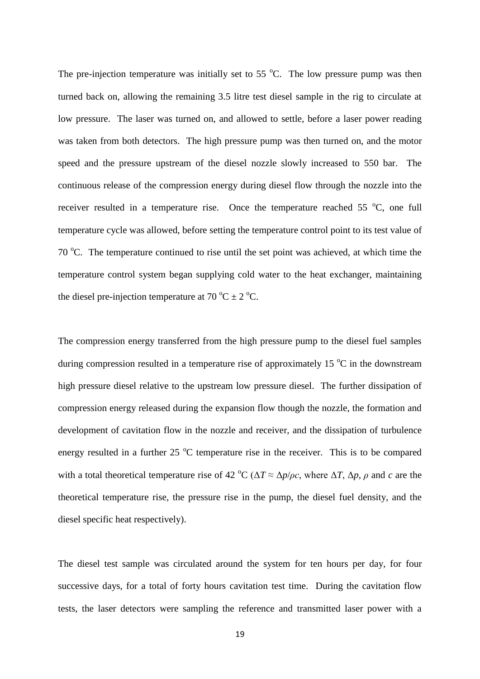The pre-injection temperature was initially set to 55  $^{\circ}$ C. The low pressure pump was then turned back on, allowing the remaining 3.5 litre test diesel sample in the rig to circulate at low pressure. The laser was turned on, and allowed to settle, before a laser power reading was taken from both detectors. The high pressure pump was then turned on, and the motor speed and the pressure upstream of the diesel nozzle slowly increased to 550 bar. The continuous release of the compression energy during diesel flow through the nozzle into the receiver resulted in a temperature rise. Once the temperature reached  $55\text{ °C}$ , one full temperature cycle was allowed, before setting the temperature control point to its test value of 70  $^{\circ}$ C. The temperature continued to rise until the set point was achieved, at which time the temperature control system began supplying cold water to the heat exchanger, maintaining the diesel pre-injection temperature at 70  $^{\circ}$ C  $\pm$  2  $^{\circ}$ C.

The compression energy transferred from the high pressure pump to the diesel fuel samples during compression resulted in a temperature rise of approximately 15  $^{\circ}$ C in the downstream high pressure diesel relative to the upstream low pressure diesel. The further dissipation of compression energy released during the expansion flow though the nozzle, the formation and development of cavitation flow in the nozzle and receiver, and the dissipation of turbulence energy resulted in a further  $25\text{ °C}$  temperature rise in the receiver. This is to be compared with a total theoretical temperature rise of 42 °C ( $\Delta T \approx \Delta p / \rho c$ , where  $\Delta T$ ,  $\Delta p$ ,  $\rho$  and  $c$  are the theoretical temperature rise, the pressure rise in the pump, the diesel fuel density, and the diesel specific heat respectively).

The diesel test sample was circulated around the system for ten hours per day, for four successive days, for a total of forty hours cavitation test time. During the cavitation flow tests, the laser detectors were sampling the reference and transmitted laser power with a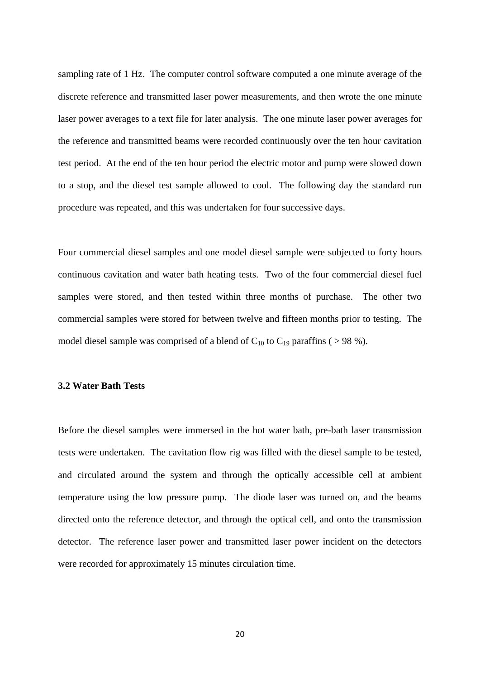sampling rate of 1 Hz. The computer control software computed a one minute average of the discrete reference and transmitted laser power measurements, and then wrote the one minute laser power averages to a text file for later analysis. The one minute laser power averages for the reference and transmitted beams were recorded continuously over the ten hour cavitation test period. At the end of the ten hour period the electric motor and pump were slowed down to a stop, and the diesel test sample allowed to cool. The following day the standard run procedure was repeated, and this was undertaken for four successive days.

Four commercial diesel samples and one model diesel sample were subjected to forty hours continuous cavitation and water bath heating tests. Two of the four commercial diesel fuel samples were stored, and then tested within three months of purchase. The other two commercial samples were stored for between twelve and fifteen months prior to testing. The model diesel sample was comprised of a blend of  $C_{10}$  to  $C_{19}$  paraffins ( > 98 %).

# **3.2 Water Bath Tests**

Before the diesel samples were immersed in the hot water bath, pre-bath laser transmission tests were undertaken. The cavitation flow rig was filled with the diesel sample to be tested, and circulated around the system and through the optically accessible cell at ambient temperature using the low pressure pump. The diode laser was turned on, and the beams directed onto the reference detector, and through the optical cell, and onto the transmission detector. The reference laser power and transmitted laser power incident on the detectors were recorded for approximately 15 minutes circulation time.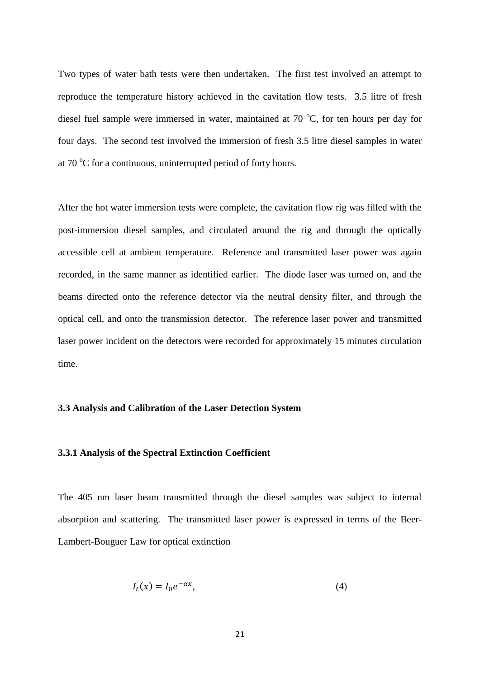Two types of water bath tests were then undertaken. The first test involved an attempt to reproduce the temperature history achieved in the cavitation flow tests. 3.5 litre of fresh diesel fuel sample were immersed in water, maintained at 70  $^{\circ}$ C, for ten hours per day for four days. The second test involved the immersion of fresh 3.5 litre diesel samples in water at  $70^{\circ}$ C for a continuous, uninterrupted period of forty hours.

After the hot water immersion tests were complete, the cavitation flow rig was filled with the post-immersion diesel samples, and circulated around the rig and through the optically accessible cell at ambient temperature. Reference and transmitted laser power was again recorded, in the same manner as identified earlier. The diode laser was turned on, and the beams directed onto the reference detector via the neutral density filter, and through the optical cell, and onto the transmission detector. The reference laser power and transmitted laser power incident on the detectors were recorded for approximately 15 minutes circulation time.

#### **3.3 Analysis and Calibration of the Laser Detection System**

#### **3.3.1 Analysis of the Spectral Extinction Coefficient**

The 405 nm laser beam transmitted through the diesel samples was subject to internal absorption and scattering. The transmitted laser power is expressed in terms of the Beer-Lambert-Bouguer Law for optical extinction

$$
I_t(x) = I_0 e^{-\alpha x},\tag{4}
$$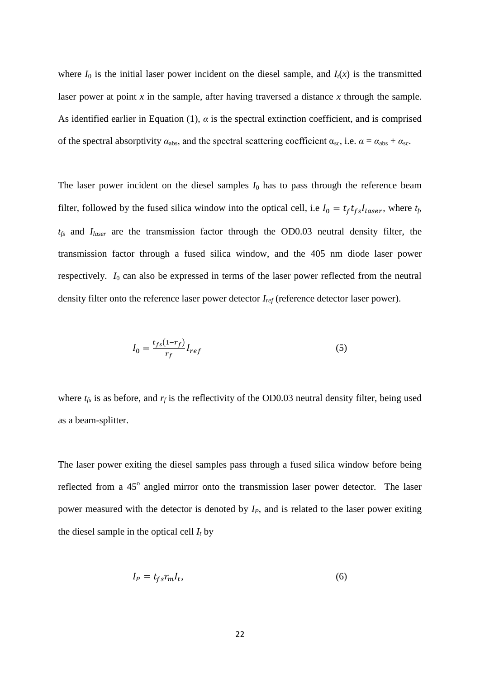where  $I_0$  is the initial laser power incident on the diesel sample, and  $I_t(x)$  is the transmitted laser power at point *x* in the sample, after having traversed a distance *x* through the sample. As identified earlier in Equation (1),  $\alpha$  is the spectral extinction coefficient, and is comprised of the spectral absorptivity  $\alpha_{\text{abs}}$ , and the spectral scattering coefficient  $\alpha_{\text{sc}}$ , i.e.  $\alpha = \alpha_{\text{abs}} + \alpha_{\text{sc}}$ .

The laser power incident on the diesel samples  $I_0$  has to pass through the reference beam filter, followed by the fused silica window into the optical cell, i.e  $I_0 = t_f t_{fs} I_{laser}$ , where  $t_f$ , *tfs* and *Ilaser* are the transmission factor through the OD0.03 neutral density filter, the transmission factor through a fused silica window, and the 405 nm diode laser power respectively. *I*<sup>0</sup> can also be expressed in terms of the laser power reflected from the neutral density filter onto the reference laser power detector *Iref* (reference detector laser power).

$$
I_0 = \frac{t_{fs}(1 - r_f)}{r_f} I_{ref}
$$
\n<sup>(5)</sup>

where  $t_f$  is as before, and  $r_f$  is the reflectivity of the OD0.03 neutral density filter, being used as a beam-splitter.

The laser power exiting the diesel samples pass through a fused silica window before being reflected from a 45<sup>°</sup> angled mirror onto the transmission laser power detector. The laser power measured with the detector is denoted by *IP*, and is related to the laser power exiting the diesel sample in the optical cell  $I_t$  by

$$
I_P = t_{fs} r_m I_t,\tag{6}
$$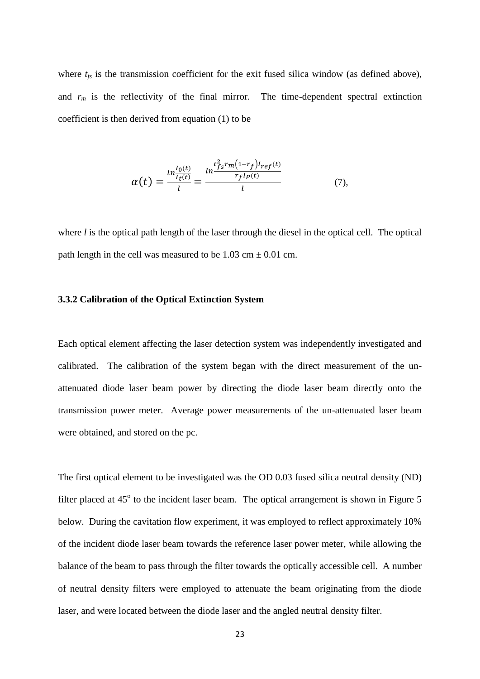where  $t_f$  is the transmission coefficient for the exit fused silica window (as defined above), and  $r_m$  is the reflectivity of the final mirror. The time-dependent spectral extinction coefficient is then derived from equation (1) to be

$$
\alpha(t) = \frac{\ln_{I_0(t)}^{I_0(t)}}{l} = \frac{\ln_{I_0(t)}^{t_{f_0}^2 r_m (1 - r_f) I_{ref}(t)}}{l}
$$
(7),

where *l* is the optical path length of the laser through the diesel in the optical cell. The optical path length in the cell was measured to be  $1.03 \text{ cm} \pm 0.01 \text{ cm}$ .

#### **3.3.2 Calibration of the Optical Extinction System**

Each optical element affecting the laser detection system was independently investigated and calibrated. The calibration of the system began with the direct measurement of the unattenuated diode laser beam power by directing the diode laser beam directly onto the transmission power meter. Average power measurements of the un-attenuated laser beam were obtained, and stored on the pc.

The first optical element to be investigated was the OD 0.03 fused silica neutral density (ND) filter placed at  $45^{\circ}$  to the incident laser beam. The optical arrangement is shown in Figure 5 below. During the cavitation flow experiment, it was employed to reflect approximately 10% of the incident diode laser beam towards the reference laser power meter, while allowing the balance of the beam to pass through the filter towards the optically accessible cell. A number of neutral density filters were employed to attenuate the beam originating from the diode laser, and were located between the diode laser and the angled neutral density filter.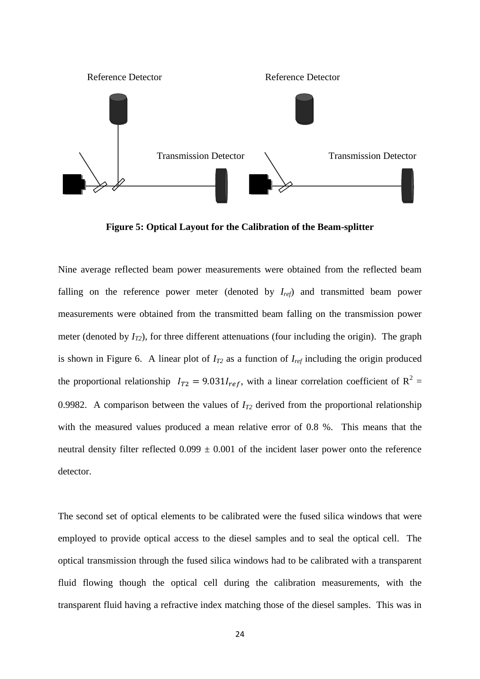

**Figure 5: Optical Layout for the Calibration of the Beam-splitter**

Nine average reflected beam power measurements were obtained from the reflected beam falling on the reference power meter (denoted by *Iref*) and transmitted beam power measurements were obtained from the transmitted beam falling on the transmission power meter (denoted by *IT2*), for three different attenuations (four including the origin). The graph is shown in Figure 6. A linear plot of  $I_{T2}$  as a function of  $I_{ref}$  including the origin produced the proportional relationship  $I_{T2} = 9.031 I_{ref}$ , with a linear correlation coefficient of  $R^2 =$ 0.9982. A comparison between the values of  $I_{T2}$  derived from the proportional relationship with the measured values produced a mean relative error of 0.8 %. This means that the neutral density filter reflected  $0.099 \pm 0.001$  of the incident laser power onto the reference detector.

The second set of optical elements to be calibrated were the fused silica windows that were employed to provide optical access to the diesel samples and to seal the optical cell. The optical transmission through the fused silica windows had to be calibrated with a transparent fluid flowing though the optical cell during the calibration measurements, with the transparent fluid having a refractive index matching those of the diesel samples. This was in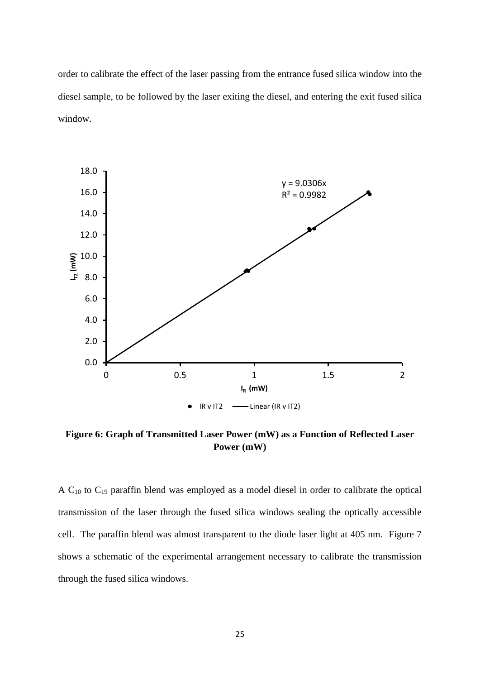order to calibrate the effect of the laser passing from the entrance fused silica window into the diesel sample, to be followed by the laser exiting the diesel, and entering the exit fused silica window.



**Figure 6: Graph of Transmitted Laser Power (mW) as a Function of Reflected Laser Power (mW)**

A  $C_{10}$  to  $C_{19}$  paraffin blend was employed as a model diesel in order to calibrate the optical transmission of the laser through the fused silica windows sealing the optically accessible cell. The paraffin blend was almost transparent to the diode laser light at 405 nm. Figure 7 shows a schematic of the experimental arrangement necessary to calibrate the transmission through the fused silica windows.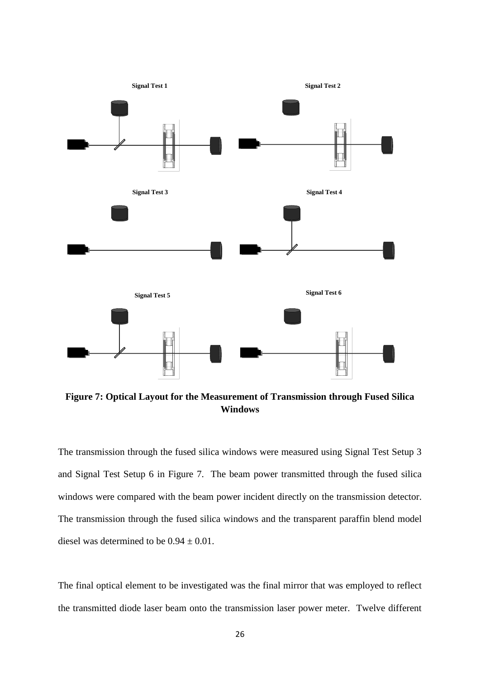

**Figure 7: Optical Layout for the Measurement of Transmission through Fused Silica Windows**

The transmission through the fused silica windows were measured using Signal Test Setup 3 and Signal Test Setup 6 in Figure 7. The beam power transmitted through the fused silica windows were compared with the beam power incident directly on the transmission detector. The transmission through the fused silica windows and the transparent paraffin blend model diesel was determined to be  $0.94 \pm 0.01$ .

The final optical element to be investigated was the final mirror that was employed to reflect the transmitted diode laser beam onto the transmission laser power meter. Twelve different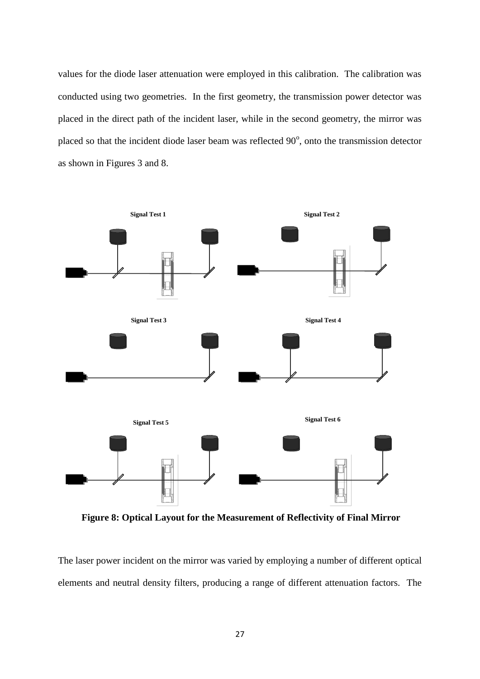values for the diode laser attenuation were employed in this calibration. The calibration was conducted using two geometries. In the first geometry, the transmission power detector was placed in the direct path of the incident laser, while in the second geometry, the mirror was placed so that the incident diode laser beam was reflected  $90^\circ$ , onto the transmission detector as shown in Figures 3 and 8.



**Figure 8: Optical Layout for the Measurement of Reflectivity of Final Mirror**

The laser power incident on the mirror was varied by employing a number of different optical elements and neutral density filters, producing a range of different attenuation factors. The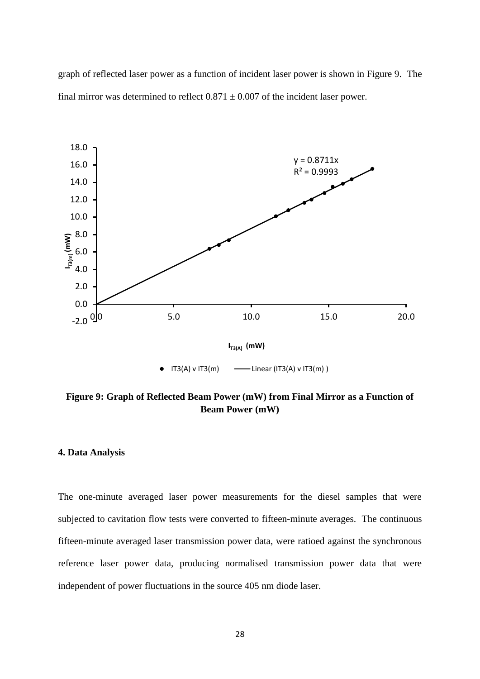graph of reflected laser power as a function of incident laser power is shown in Figure 9. The final mirror was determined to reflect  $0.871 \pm 0.007$  of the incident laser power.



**Figure 9: Graph of Reflected Beam Power (mW) from Final Mirror as a Function of Beam Power (mW)**

# **4. Data Analysis**

The one-minute averaged laser power measurements for the diesel samples that were subjected to cavitation flow tests were converted to fifteen-minute averages. The continuous fifteen-minute averaged laser transmission power data, were ratioed against the synchronous reference laser power data, producing normalised transmission power data that were independent of power fluctuations in the source 405 nm diode laser.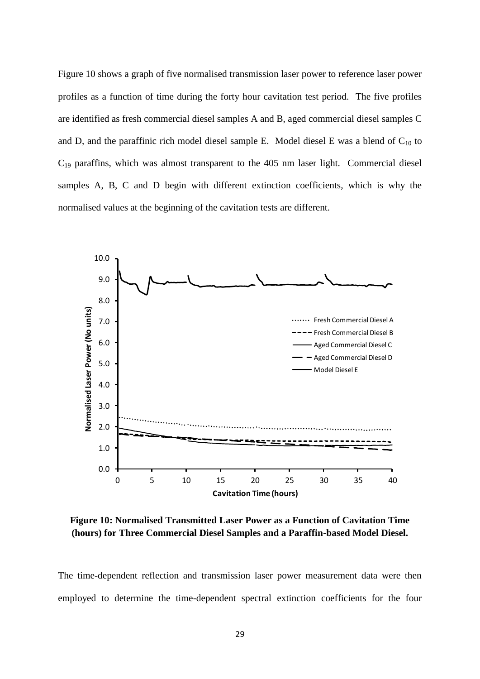Figure 10 shows a graph of five normalised transmission laser power to reference laser power profiles as a function of time during the forty hour cavitation test period. The five profiles are identified as fresh commercial diesel samples A and B, aged commercial diesel samples C and D, and the paraffinic rich model diesel sample E. Model diesel E was a blend of  $C_{10}$  to  $C_{19}$  paraffins, which was almost transparent to the 405 nm laser light. Commercial diesel samples A, B, C and D begin with different extinction coefficients, which is why the normalised values at the beginning of the cavitation tests are different.



**Figure 10: Normalised Transmitted Laser Power as a Function of Cavitation Time (hours) for Three Commercial Diesel Samples and a Paraffin-based Model Diesel.**

The time-dependent reflection and transmission laser power measurement data were then employed to determine the time-dependent spectral extinction coefficients for the four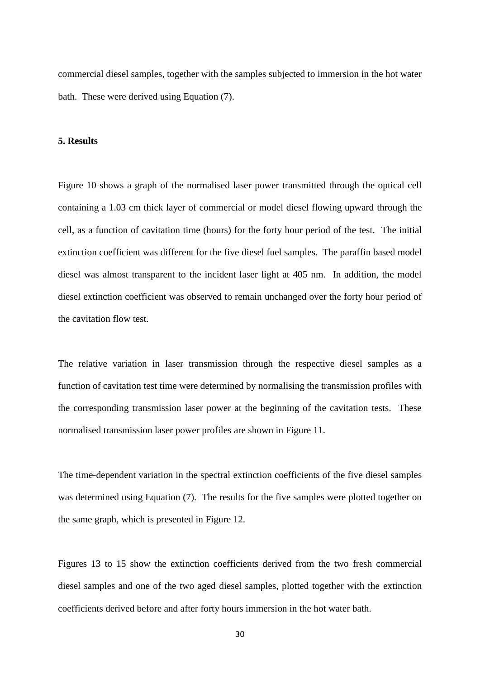commercial diesel samples, together with the samples subjected to immersion in the hot water bath. These were derived using Equation (7).

# **5. Results**

Figure 10 shows a graph of the normalised laser power transmitted through the optical cell containing a 1.03 cm thick layer of commercial or model diesel flowing upward through the cell, as a function of cavitation time (hours) for the forty hour period of the test. The initial extinction coefficient was different for the five diesel fuel samples. The paraffin based model diesel was almost transparent to the incident laser light at 405 nm. In addition, the model diesel extinction coefficient was observed to remain unchanged over the forty hour period of the cavitation flow test.

The relative variation in laser transmission through the respective diesel samples as a function of cavitation test time were determined by normalising the transmission profiles with the corresponding transmission laser power at the beginning of the cavitation tests. These normalised transmission laser power profiles are shown in Figure 11.

The time-dependent variation in the spectral extinction coefficients of the five diesel samples was determined using Equation (7). The results for the five samples were plotted together on the same graph, which is presented in Figure 12.

Figures 13 to 15 show the extinction coefficients derived from the two fresh commercial diesel samples and one of the two aged diesel samples, plotted together with the extinction coefficients derived before and after forty hours immersion in the hot water bath.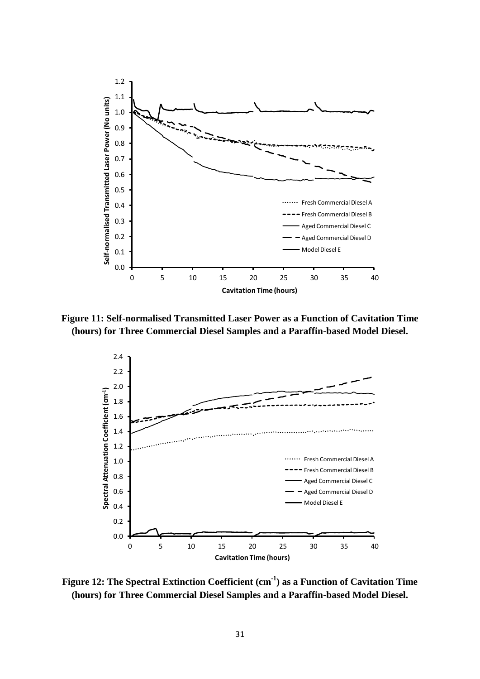

**Figure 11: Self-normalised Transmitted Laser Power as a Function of Cavitation Time (hours) for Three Commercial Diesel Samples and a Paraffin-based Model Diesel.**



**Figure 12: The Spectral Extinction Coefficient (cm-1 ) as a Function of Cavitation Time (hours) for Three Commercial Diesel Samples and a Paraffin-based Model Diesel.**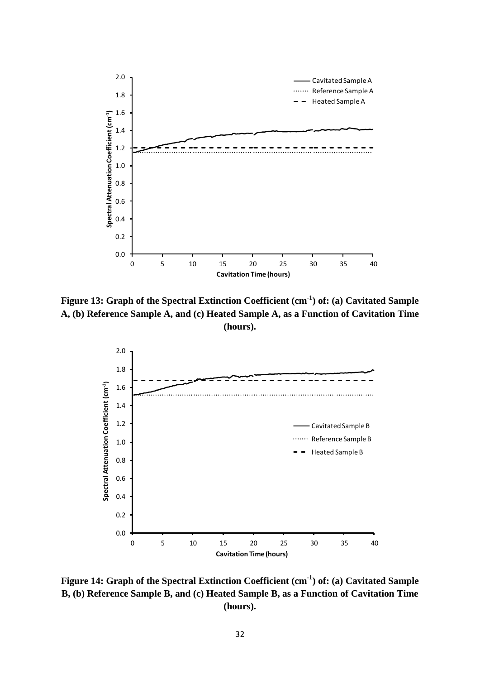

**Figure 13: Graph of the Spectral Extinction Coefficient (cm-1 ) of: (a) Cavitated Sample A, (b) Reference Sample A, and (c) Heated Sample A, as a Function of Cavitation Time (hours).** 



**Figure 14: Graph of the Spectral Extinction Coefficient (cm-1 ) of: (a) Cavitated Sample B, (b) Reference Sample B, and (c) Heated Sample B, as a Function of Cavitation Time (hours).**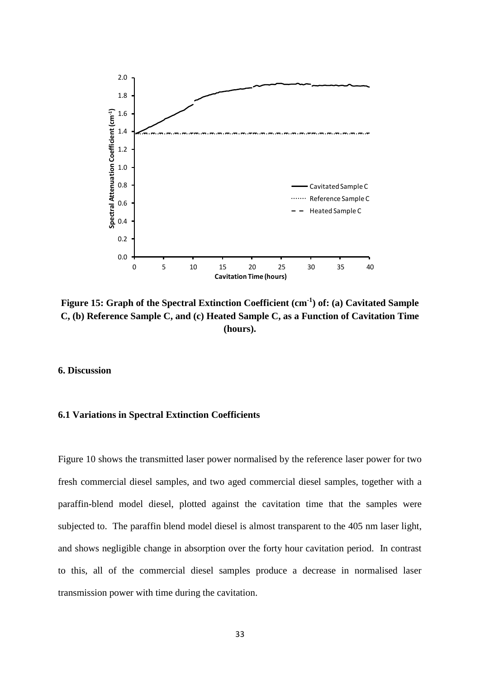

**Figure 15: Graph of the Spectral Extinction Coefficient (cm-1 ) of: (a) Cavitated Sample C, (b) Reference Sample C, and (c) Heated Sample C, as a Function of Cavitation Time (hours).**

# **6. Discussion**

# **6.1 Variations in Spectral Extinction Coefficients**

Figure 10 shows the transmitted laser power normalised by the reference laser power for two fresh commercial diesel samples, and two aged commercial diesel samples, together with a paraffin-blend model diesel, plotted against the cavitation time that the samples were subjected to. The paraffin blend model diesel is almost transparent to the 405 nm laser light, and shows negligible change in absorption over the forty hour cavitation period. In contrast to this, all of the commercial diesel samples produce a decrease in normalised laser transmission power with time during the cavitation.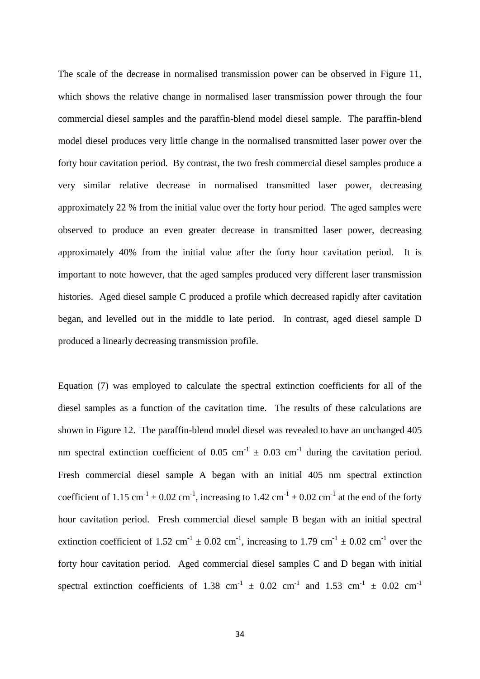The scale of the decrease in normalised transmission power can be observed in Figure 11, which shows the relative change in normalised laser transmission power through the four commercial diesel samples and the paraffin-blend model diesel sample. The paraffin-blend model diesel produces very little change in the normalised transmitted laser power over the forty hour cavitation period. By contrast, the two fresh commercial diesel samples produce a very similar relative decrease in normalised transmitted laser power, decreasing approximately 22 % from the initial value over the forty hour period. The aged samples were observed to produce an even greater decrease in transmitted laser power, decreasing approximately 40% from the initial value after the forty hour cavitation period. It is important to note however, that the aged samples produced very different laser transmission histories. Aged diesel sample C produced a profile which decreased rapidly after cavitation began, and levelled out in the middle to late period. In contrast, aged diesel sample D produced a linearly decreasing transmission profile.

Equation (7) was employed to calculate the spectral extinction coefficients for all of the diesel samples as a function of the cavitation time. The results of these calculations are shown in Figure 12. The paraffin-blend model diesel was revealed to have an unchanged 405 nm spectral extinction coefficient of 0.05 cm<sup>-1</sup>  $\pm$  0.03 cm<sup>-1</sup> during the cavitation period. Fresh commercial diesel sample A began with an initial 405 nm spectral extinction coefficient of 1.15 cm<sup>-1</sup>  $\pm$  0.02 cm<sup>-1</sup>, increasing to 1.42 cm<sup>-1</sup>  $\pm$  0.02 cm<sup>-1</sup> at the end of the forty hour cavitation period. Fresh commercial diesel sample B began with an initial spectral extinction coefficient of 1.52 cm<sup>-1</sup>  $\pm$  0.02 cm<sup>-1</sup>, increasing to 1.79 cm<sup>-1</sup>  $\pm$  0.02 cm<sup>-1</sup> over the forty hour cavitation period. Aged commercial diesel samples C and D began with initial spectral extinction coefficients of 1.38 cm<sup>-1</sup>  $\pm$  0.02 cm<sup>-1</sup> and 1.53 cm<sup>-1</sup>  $\pm$  0.02 cm<sup>-1</sup>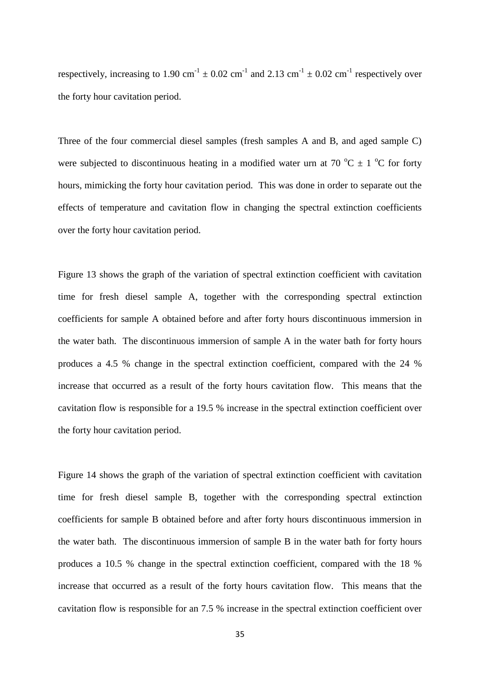respectively, increasing to 1.90 cm<sup>-1</sup>  $\pm$  0.02 cm<sup>-1</sup> and 2.13 cm<sup>-1</sup>  $\pm$  0.02 cm<sup>-1</sup> respectively over the forty hour cavitation period.

Three of the four commercial diesel samples (fresh samples A and B, and aged sample C) were subjected to discontinuous heating in a modified water urn at 70  $^{\circ}$ C  $\pm$  1  $^{\circ}$ C for forty hours, mimicking the forty hour cavitation period. This was done in order to separate out the effects of temperature and cavitation flow in changing the spectral extinction coefficients over the forty hour cavitation period.

Figure 13 shows the graph of the variation of spectral extinction coefficient with cavitation time for fresh diesel sample A, together with the corresponding spectral extinction coefficients for sample A obtained before and after forty hours discontinuous immersion in the water bath. The discontinuous immersion of sample A in the water bath for forty hours produces a 4.5 % change in the spectral extinction coefficient, compared with the 24 % increase that occurred as a result of the forty hours cavitation flow. This means that the cavitation flow is responsible for a 19.5 % increase in the spectral extinction coefficient over the forty hour cavitation period.

Figure 14 shows the graph of the variation of spectral extinction coefficient with cavitation time for fresh diesel sample B, together with the corresponding spectral extinction coefficients for sample B obtained before and after forty hours discontinuous immersion in the water bath. The discontinuous immersion of sample B in the water bath for forty hours produces a 10.5 % change in the spectral extinction coefficient, compared with the 18 % increase that occurred as a result of the forty hours cavitation flow. This means that the cavitation flow is responsible for an 7.5 % increase in the spectral extinction coefficient over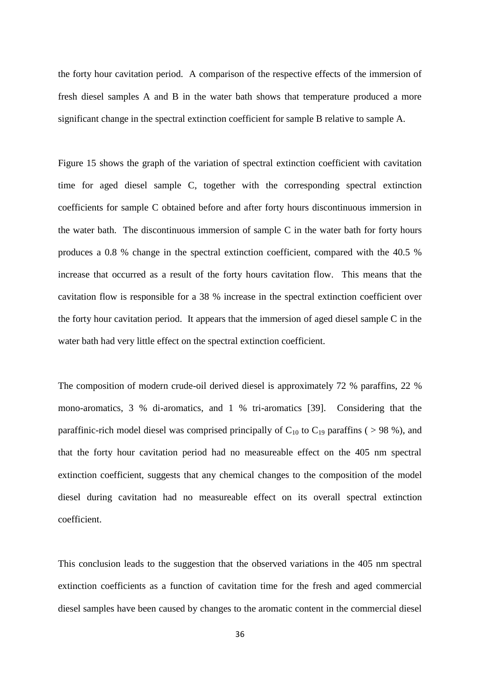the forty hour cavitation period. A comparison of the respective effects of the immersion of fresh diesel samples A and B in the water bath shows that temperature produced a more significant change in the spectral extinction coefficient for sample B relative to sample A.

Figure 15 shows the graph of the variation of spectral extinction coefficient with cavitation time for aged diesel sample C, together with the corresponding spectral extinction coefficients for sample C obtained before and after forty hours discontinuous immersion in the water bath. The discontinuous immersion of sample C in the water bath for forty hours produces a 0.8 % change in the spectral extinction coefficient, compared with the 40.5 % increase that occurred as a result of the forty hours cavitation flow. This means that the cavitation flow is responsible for a 38 % increase in the spectral extinction coefficient over the forty hour cavitation period. It appears that the immersion of aged diesel sample C in the water bath had very little effect on the spectral extinction coefficient.

The composition of modern crude-oil derived diesel is approximately 72 % paraffins, 22 % mono-aromatics, 3 % di-aromatics, and 1 % tri-aromatics [39]. Considering that the paraffinic-rich model diesel was comprised principally of  $C_{10}$  to  $C_{19}$  paraffins ( > 98 %), and that the forty hour cavitation period had no measureable effect on the 405 nm spectral extinction coefficient, suggests that any chemical changes to the composition of the model diesel during cavitation had no measureable effect on its overall spectral extinction coefficient.

This conclusion leads to the suggestion that the observed variations in the 405 nm spectral extinction coefficients as a function of cavitation time for the fresh and aged commercial diesel samples have been caused by changes to the aromatic content in the commercial diesel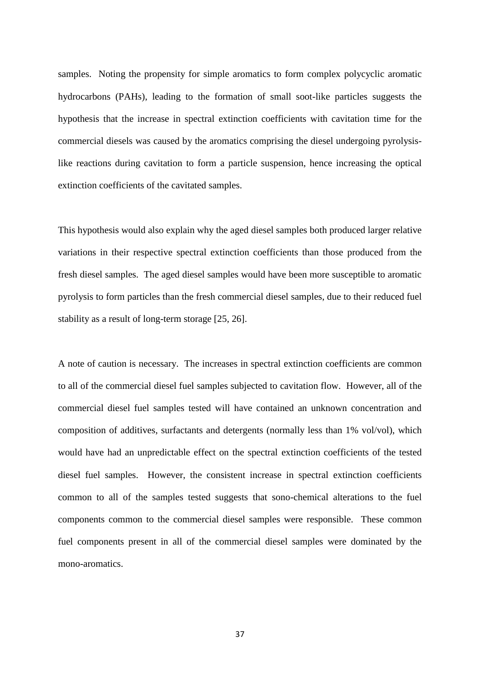samples. Noting the propensity for simple aromatics to form complex polycyclic aromatic hydrocarbons (PAHs), leading to the formation of small soot-like particles suggests the hypothesis that the increase in spectral extinction coefficients with cavitation time for the commercial diesels was caused by the aromatics comprising the diesel undergoing pyrolysislike reactions during cavitation to form a particle suspension, hence increasing the optical extinction coefficients of the cavitated samples.

This hypothesis would also explain why the aged diesel samples both produced larger relative variations in their respective spectral extinction coefficients than those produced from the fresh diesel samples. The aged diesel samples would have been more susceptible to aromatic pyrolysis to form particles than the fresh commercial diesel samples, due to their reduced fuel stability as a result of long-term storage [25, 26].

A note of caution is necessary. The increases in spectral extinction coefficients are common to all of the commercial diesel fuel samples subjected to cavitation flow. However, all of the commercial diesel fuel samples tested will have contained an unknown concentration and composition of additives, surfactants and detergents (normally less than 1% vol/vol), which would have had an unpredictable effect on the spectral extinction coefficients of the tested diesel fuel samples. However, the consistent increase in spectral extinction coefficients common to all of the samples tested suggests that sono-chemical alterations to the fuel components common to the commercial diesel samples were responsible. These common fuel components present in all of the commercial diesel samples were dominated by the mono-aromatics.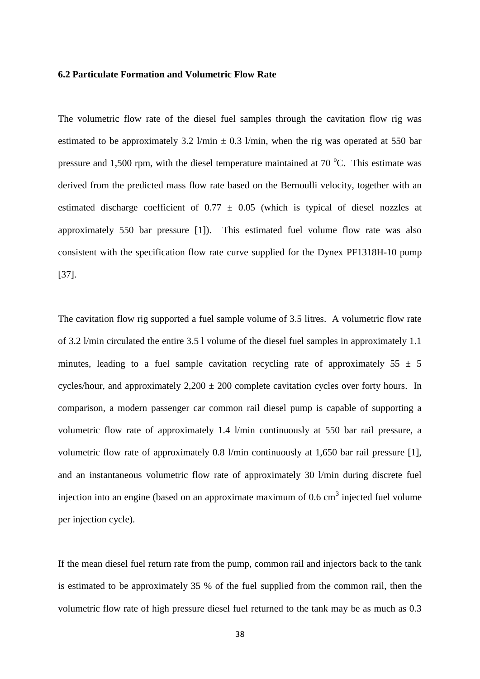#### **6.2 Particulate Formation and Volumetric Flow Rate**

The volumetric flow rate of the diesel fuel samples through the cavitation flow rig was estimated to be approximately 3.2 l/min  $\pm$  0.3 l/min, when the rig was operated at 550 bar pressure and 1,500 rpm, with the diesel temperature maintained at  $70^{\circ}$ C. This estimate was derived from the predicted mass flow rate based on the Bernoulli velocity, together with an estimated discharge coefficient of  $0.77 \pm 0.05$  (which is typical of diesel nozzles at approximately 550 bar pressure [1]). This estimated fuel volume flow rate was also consistent with the specification flow rate curve supplied for the Dynex PF1318H-10 pump [37].

The cavitation flow rig supported a fuel sample volume of 3.5 litres. A volumetric flow rate of 3.2 l/min circulated the entire 3.5 l volume of the diesel fuel samples in approximately 1.1 minutes, leading to a fuel sample cavitation recycling rate of approximately  $55 \pm 5$ cycles/hour, and approximately  $2,200 \pm 200$  complete cavitation cycles over forty hours. In comparison, a modern passenger car common rail diesel pump is capable of supporting a volumetric flow rate of approximately 1.4 l/min continuously at 550 bar rail pressure, a volumetric flow rate of approximately 0.8 l/min continuously at 1,650 bar rail pressure [1], and an instantaneous volumetric flow rate of approximately 30 l/min during discrete fuel injection into an engine (based on an approximate maximum of  $0.6 \text{ cm}^3$  injected fuel volume per injection cycle).

If the mean diesel fuel return rate from the pump, common rail and injectors back to the tank is estimated to be approximately 35 % of the fuel supplied from the common rail, then the volumetric flow rate of high pressure diesel fuel returned to the tank may be as much as 0.3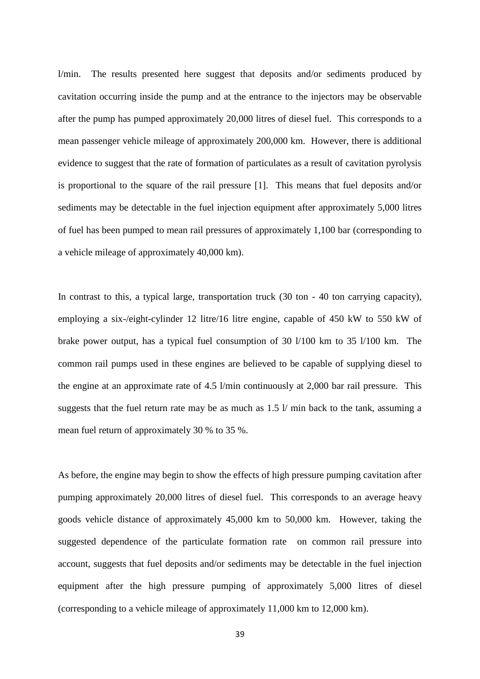l/min. The results presented here suggest that deposits and/or sediments produced by cavitation occurring inside the pump and at the entrance to the injectors may be observable after the pump has pumped approximately 20,000 litres of diesel fuel. This corresponds to a mean passenger vehicle mileage of approximately 200,000 km. However, there is additional evidence to suggest that the rate of formation of particulates as a result of cavitation pyrolysis is proportional to the square of the rail pressure [1]. This means that fuel deposits and/or sediments may be detectable in the fuel injection equipment after approximately 5,000 litres of fuel has been pumped to mean rail pressures of approximately 1,100 bar (corresponding to a vehicle mileage of approximately 40,000 km).

In contrast to this, a typical large, transportation truck (30 ton - 40 ton carrying capacity), employing a six-/eight-cylinder 12 litre/16 litre engine, capable of 450 kW to 550 kW of brake power output, has a typical fuel consumption of 30 l/100 km to 35 l/100 km. The common rail pumps used in these engines are believed to be capable of supplying diesel to the engine at an approximate rate of 4.5 l/min continuously at 2,000 bar rail pressure. This suggests that the fuel return rate may be as much as 1.5 l/ min back to the tank, assuming a mean fuel return of approximately 30 % to 35 %.

As before, the engine may begin to show the effects of high pressure pumping cavitation after pumping approximately 20,000 litres of diesel fuel. This corresponds to an average heavy goods vehicle distance of approximately 45,000 km to 50,000 km. However, taking the suggested dependence of the particulate formation rate on common rail pressure into account, suggests that fuel deposits and/or sediments may be detectable in the fuel injection equipment after the high pressure pumping of approximately 5,000 litres of diesel (corresponding to a vehicle mileage of approximately 11,000 km to 12,000 km).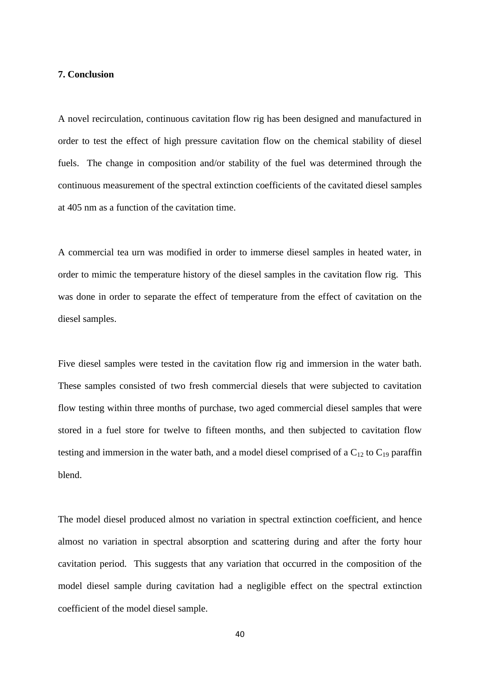#### **7. Conclusion**

A novel recirculation, continuous cavitation flow rig has been designed and manufactured in order to test the effect of high pressure cavitation flow on the chemical stability of diesel fuels. The change in composition and/or stability of the fuel was determined through the continuous measurement of the spectral extinction coefficients of the cavitated diesel samples at 405 nm as a function of the cavitation time.

A commercial tea urn was modified in order to immerse diesel samples in heated water, in order to mimic the temperature history of the diesel samples in the cavitation flow rig. This was done in order to separate the effect of temperature from the effect of cavitation on the diesel samples.

Five diesel samples were tested in the cavitation flow rig and immersion in the water bath. These samples consisted of two fresh commercial diesels that were subjected to cavitation flow testing within three months of purchase, two aged commercial diesel samples that were stored in a fuel store for twelve to fifteen months, and then subjected to cavitation flow testing and immersion in the water bath, and a model diesel comprised of a  $C_{12}$  to  $C_{19}$  paraffin blend.

The model diesel produced almost no variation in spectral extinction coefficient, and hence almost no variation in spectral absorption and scattering during and after the forty hour cavitation period. This suggests that any variation that occurred in the composition of the model diesel sample during cavitation had a negligible effect on the spectral extinction coefficient of the model diesel sample.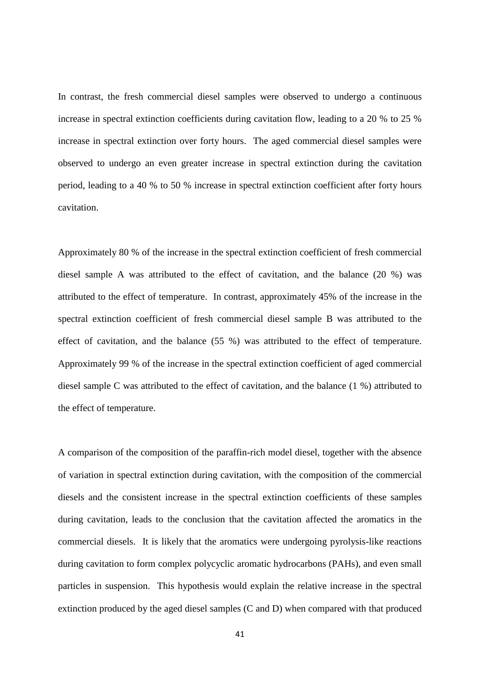In contrast, the fresh commercial diesel samples were observed to undergo a continuous increase in spectral extinction coefficients during cavitation flow, leading to a 20 % to 25 % increase in spectral extinction over forty hours. The aged commercial diesel samples were observed to undergo an even greater increase in spectral extinction during the cavitation period, leading to a 40 % to 50 % increase in spectral extinction coefficient after forty hours cavitation.

Approximately 80 % of the increase in the spectral extinction coefficient of fresh commercial diesel sample A was attributed to the effect of cavitation, and the balance (20 %) was attributed to the effect of temperature. In contrast, approximately 45% of the increase in the spectral extinction coefficient of fresh commercial diesel sample B was attributed to the effect of cavitation, and the balance (55 %) was attributed to the effect of temperature. Approximately 99 % of the increase in the spectral extinction coefficient of aged commercial diesel sample C was attributed to the effect of cavitation, and the balance (1 %) attributed to the effect of temperature.

A comparison of the composition of the paraffin-rich model diesel, together with the absence of variation in spectral extinction during cavitation, with the composition of the commercial diesels and the consistent increase in the spectral extinction coefficients of these samples during cavitation, leads to the conclusion that the cavitation affected the aromatics in the commercial diesels. It is likely that the aromatics were undergoing pyrolysis-like reactions during cavitation to form complex polycyclic aromatic hydrocarbons (PAHs), and even small particles in suspension. This hypothesis would explain the relative increase in the spectral extinction produced by the aged diesel samples (C and D) when compared with that produced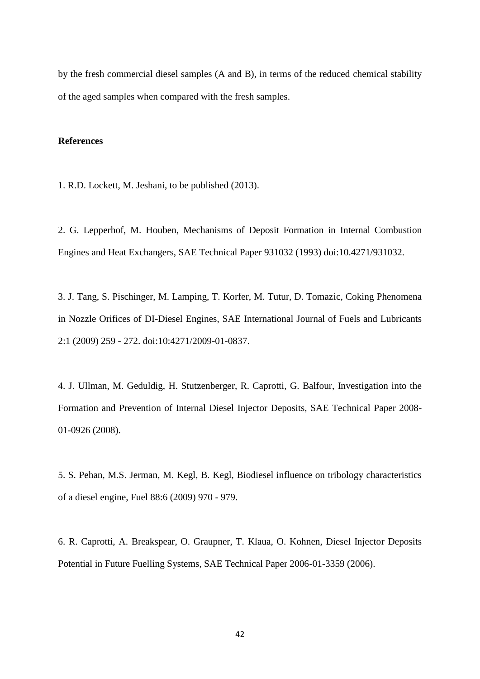by the fresh commercial diesel samples (A and B), in terms of the reduced chemical stability of the aged samples when compared with the fresh samples.

# **References**

1. R.D. Lockett, M. Jeshani, to be published (2013).

2. G. Lepperhof, M. Houben, Mechanisms of Deposit Formation in Internal Combustion Engines and Heat Exchangers, SAE Technical Paper 931032 (1993) doi:10.4271/931032.

3. J. Tang, S. Pischinger, M. Lamping, T. Korfer, M. Tutur, D. Tomazic, Coking Phenomena in Nozzle Orifices of DI-Diesel Engines, SAE International Journal of Fuels and Lubricants 2:1 (2009) 259 - 272. doi:10:4271/2009-01-0837.

4. J. Ullman, M. Geduldig, H. Stutzenberger, R. Caprotti, G. Balfour, Investigation into the Formation and Prevention of Internal Diesel Injector Deposits, SAE Technical Paper 2008- 01-0926 (2008).

5. S. Pehan, M.S. Jerman, M. Kegl, B. Kegl, Biodiesel influence on tribology characteristics of a diesel engine, Fuel 88:6 (2009) 970 - 979.

6. R. Caprotti, A. Breakspear, O. Graupner, T. Klaua, O. Kohnen, Diesel Injector Deposits Potential in Future Fuelling Systems, SAE Technical Paper 2006-01-3359 (2006).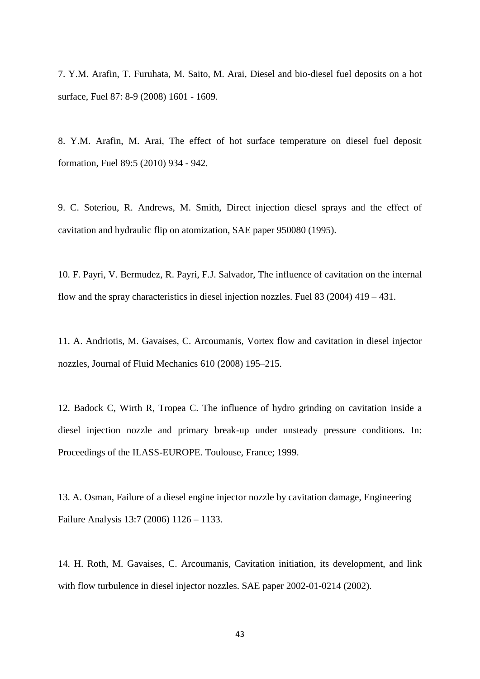7. Y.M. Arafin, T. Furuhata, M. Saito, M. Arai, Diesel and bio-diesel fuel deposits on a hot surface, Fuel 87: 8-9 (2008) 1601 - 1609.

8. Y.M. Arafin, M. Arai, The effect of hot surface temperature on diesel fuel deposit formation, Fuel 89:5 (2010) 934 - 942.

9. C. Soteriou, R. Andrews, M. Smith, Direct injection diesel sprays and the effect of cavitation and hydraulic flip on atomization, SAE paper 950080 (1995).

10. F. Payri, V. Bermudez, R. Payri, F.J. Salvador, The influence of cavitation on the internal flow and the spray characteristics in diesel injection nozzles. Fuel 83 (2004) 419 – 431.

11. A. Andriotis, M. Gavaises, C. Arcoumanis, Vortex flow and cavitation in diesel injector nozzles, Journal of Fluid Mechanics 610 (2008) 195–215.

12. Badock C, Wirth R, Tropea C. The influence of hydro grinding on cavitation inside a diesel injection nozzle and primary break-up under unsteady pressure conditions. In: Proceedings of the ILASS-EUROPE. Toulouse, France; 1999.

13. A. Osman, Failure of a diesel engine injector nozzle by cavitation damage, Engineering Failure Analysis 13:7 (2006) 1126 – 1133.

14. H. Roth, M. Gavaises, C. Arcoumanis, Cavitation initiation, its development, and link with flow turbulence in diesel injector nozzles. SAE paper 2002-01-0214 (2002).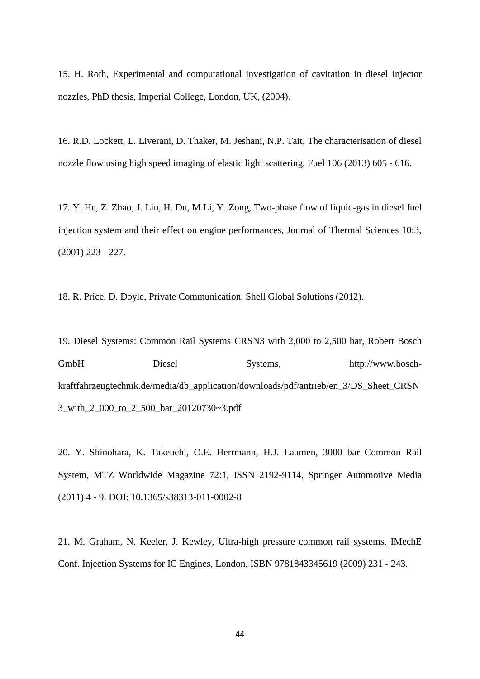15. H. Roth, Experimental and computational investigation of cavitation in diesel injector nozzles, PhD thesis, Imperial College, London, UK, (2004).

16. R.D. Lockett, L. Liverani, D. Thaker, M. Jeshani, N.P. Tait, The characterisation of diesel nozzle flow using high speed imaging of elastic light scattering, Fuel 106 (2013) 605 - 616.

17. Y. He, Z. Zhao, J. Liu, H. Du, M.Li, Y. Zong, Two-phase flow of liquid-gas in diesel fuel injection system and their effect on engine performances, Journal of Thermal Sciences 10:3, (2001) 223 - 227.

18. R. Price, D. Doyle, Private Communication, Shell Global Solutions (2012).

19. Diesel Systems: Common Rail Systems CRSN3 with 2,000 to 2,500 bar, Robert Bosch GmbH Diesel Systems, http://www.boschkraftfahrzeugtechnik.de/media/db\_application/downloads/pdf/antrieb/en\_3/DS\_Sheet\_CRSN 3\_with\_2\_000\_to\_2\_500\_bar\_20120730~3.pdf

20. Y. Shinohara, K. Takeuchi, O.E. Herrmann, H.J. Laumen, 3000 bar Common Rail System, MTZ Worldwide Magazine 72:1, ISSN 2192-9114, Springer Automotive Media (2011) 4 - 9. DOI: 10.1365/s38313-011-0002-8

21. M. Graham, N. Keeler, J. Kewley, Ultra-high pressure common rail systems, IMechE Conf. Injection Systems for IC Engines, London, ISBN 9781843345619 (2009) 231 - 243.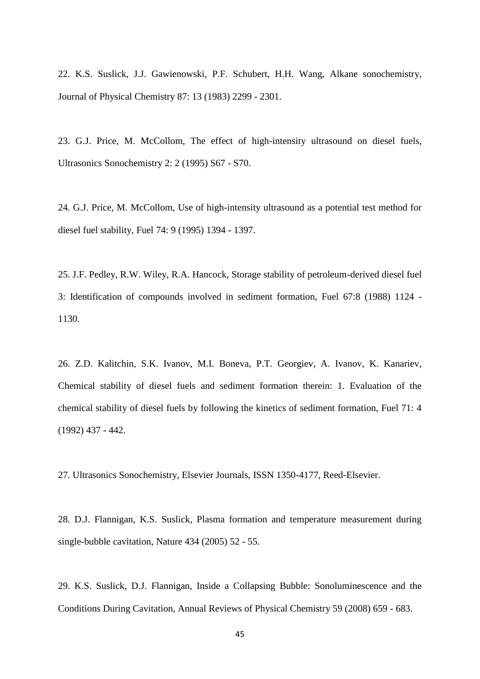22. K.S. Suslick, J.J. Gawienowski, P.F. Schubert, H.H. Wang, Alkane sonochemistry, Journal of Physical Chemistry 87: 13 (1983) 2299 - 2301.

23. G.J. Price, M. McCollom, The effect of high-intensity ultrasound on diesel fuels, Ultrasonics Sonochemistry 2: 2 (1995) S67 - S70.

24. G.J. Price, M. McCollom, Use of high-intensity ultrasound as a potential test method for diesel fuel stability, Fuel 74: 9 (1995) 1394 - 1397.

25. J.F. Pedley, R.W. Wiley, R.A. Hancock, Storage stability of petroleum-derived diesel fuel 3: Identification of compounds involved in sediment formation, Fuel 67:8 (1988) 1124 - 1130.

26. Z.D. Kalitchin, S.K. Ivanov, M.I. Boneva, P.T. Georgiev, A. Ivanov, K. Kanariev, Chemical stability of diesel fuels and sediment formation therein: 1. Evaluation of the chemical stability of diesel fuels by following the kinetics of sediment formation, Fuel 71: 4 (1992) 437 - 442.

27. Ultrasonics Sonochemistry, Elsevier Journals, ISSN 1350-4177, Reed-Elsevier.

28. D.J. Flannigan, K.S. Suslick, Plasma formation and temperature measurement during single-bubble cavitation, Nature 434 (2005) 52 - 55.

29. K.S. Suslick, D.J. Flannigan, Inside a Collapsing Bubble: Sonoluminescence and the Conditions During Cavitation, Annual Reviews of Physical Chemistry 59 (2008) 659 - 683.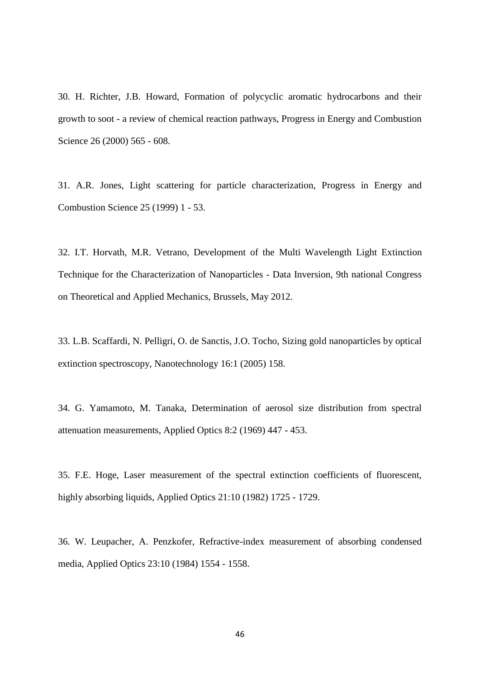30. H. Richter, J.B. Howard, Formation of polycyclic aromatic hydrocarbons and their growth to soot - a review of chemical reaction pathways, Progress in Energy and Combustion Science 26 (2000) 565 - 608.

31. A.R. Jones, Light scattering for particle characterization, Progress in Energy and Combustion Science 25 (1999) 1 - 53.

32. I.T. Horvath, M.R. Vetrano, Development of the Multi Wavelength Light Extinction Technique for the Characterization of Nanoparticles - Data Inversion, 9th national Congress on Theoretical and Applied Mechanics, Brussels, May 2012.

33. L.B. Scaffardi, N. Pelligri, O. de Sanctis, J.O. Tocho, Sizing gold nanoparticles by optical extinction spectroscopy, Nanotechnology 16:1 (2005) 158.

34. G. Yamamoto, M. Tanaka, Determination of aerosol size distribution from spectral attenuation measurements, Applied Optics 8:2 (1969) 447 - 453.

35. F.E. Hoge, Laser measurement of the spectral extinction coefficients of fluorescent, highly absorbing liquids, Applied Optics 21:10 (1982) 1725 - 1729.

36. W. Leupacher, A. Penzkofer, Refractive-index measurement of absorbing condensed media, Applied Optics 23:10 (1984) 1554 - 1558.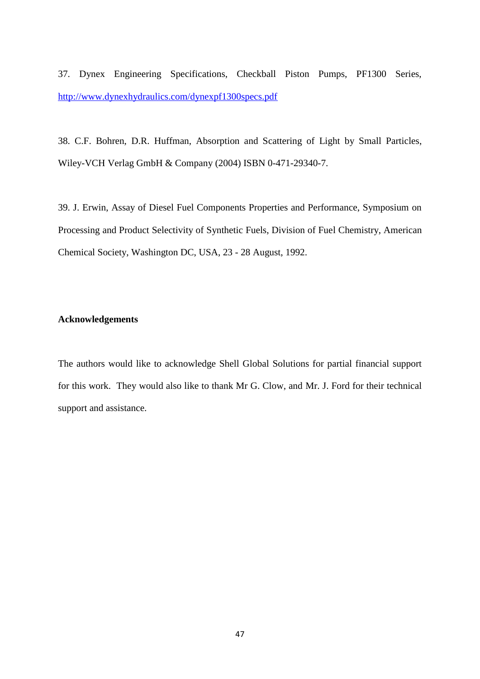37. Dynex Engineering Specifications, Checkball Piston Pumps, PF1300 Series, <http://www.dynexhydraulics.com/dynexpf1300specs.pdf>

38. C.F. Bohren, D.R. Huffman, Absorption and Scattering of Light by Small Particles, Wiley-VCH Verlag GmbH & Company (2004) ISBN 0-471-29340-7.

39. J. Erwin, Assay of Diesel Fuel Components Properties and Performance, Symposium on Processing and Product Selectivity of Synthetic Fuels, Division of Fuel Chemistry, American Chemical Society, Washington DC, USA, 23 - 28 August, 1992.

# **Acknowledgements**

The authors would like to acknowledge Shell Global Solutions for partial financial support for this work. They would also like to thank Mr G. Clow, and Mr. J. Ford for their technical support and assistance.